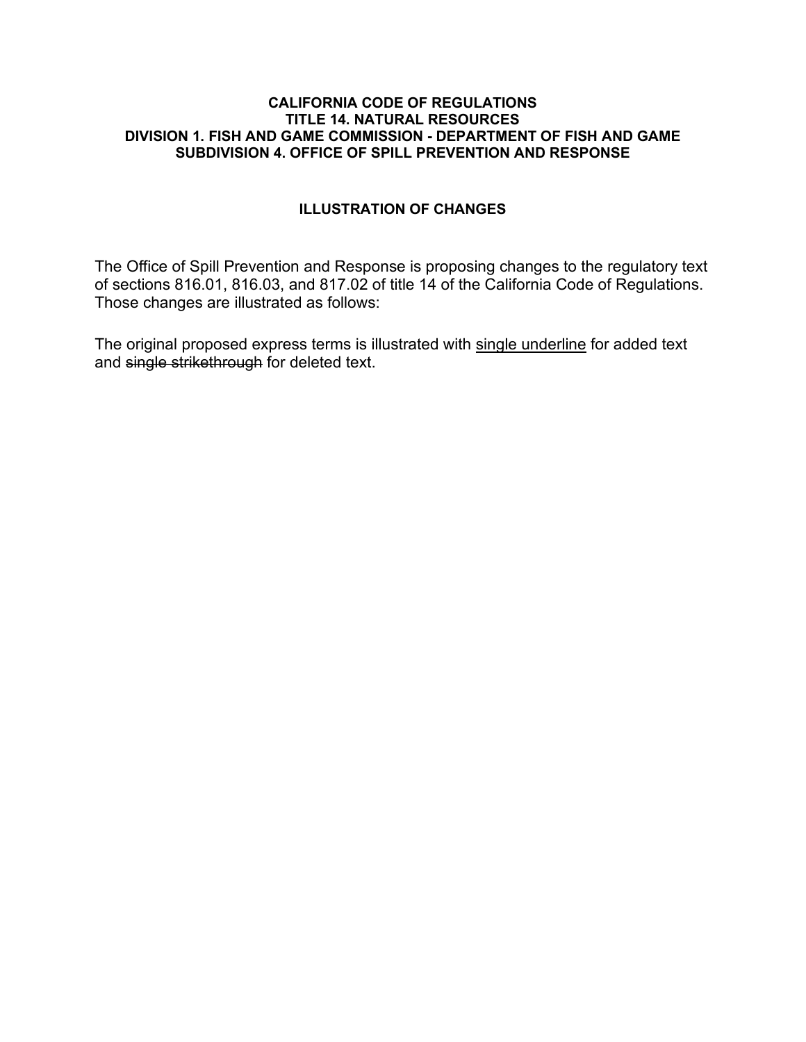#### **CALIFORNIA CODE OF REGULATIONS TITLE 14. NATURAL RESOURCES DIVISION 1. FISH AND GAME COMMISSION - DEPARTMENT OF FISH AND GAME SUBDIVISION 4. OFFICE OF SPILL PREVENTION AND RESPONSE**

#### **ILLUSTRATION OF CHANGES**

The Office of Spill Prevention and Response is proposing changes to the regulatory text of sections 816.01, 816.03, and 817.02 of title 14 of the California Code of Regulations. Those changes are illustrated as follows:

The original proposed express terms is illustrated with single underline for added text and single strikethrough for deleted text.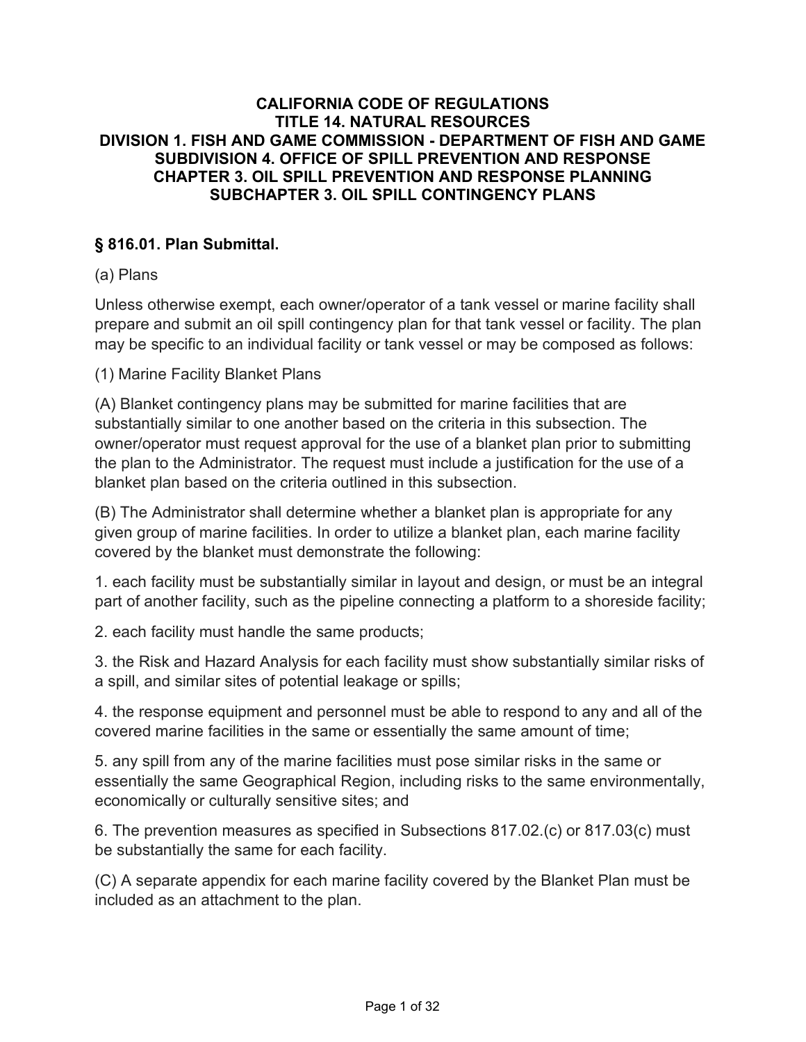### **CALIFORNIA CODE OF REGULATIONS TITLE 14. NATURAL RESOURCES DIVISION 1. FISH AND GAME COMMISSION - DEPARTMENT OF FISH AND GAME SUBDIVISION 4. OFFICE OF SPILL PREVENTION AND RESPONSE CHAPTER 3. OIL SPILL PREVENTION AND RESPONSE PLANNING SUBCHAPTER 3. OIL SPILL CONTINGENCY PLANS**

## **§ 816.01. Plan Submittal.**

## (a) Plans

Unless otherwise exempt, each owner/operator of a tank vessel or marine facility shall prepare and submit an oil spill contingency plan for that tank vessel or facility. The plan may be specific to an individual facility or tank vessel or may be composed as follows:

(1) Marine Facility Blanket Plans

(A) Blanket contingency plans may be submitted for marine facilities that are substantially similar to one another based on the criteria in this subsection. The owner/operator must request approval for the use of a blanket plan prior to submitting the plan to the Administrator. The request must include a justification for the use of a blanket plan based on the criteria outlined in this subsection.

(B) The Administrator shall determine whether a blanket plan is appropriate for any given group of marine facilities. In order to utilize a blanket plan, each marine facility covered by the blanket must demonstrate the following:

1. each facility must be substantially similar in layout and design, or must be an integral part of another facility, such as the pipeline connecting a platform to a shoreside facility;

2. each facility must handle the same products;

3. the Risk and Hazard Analysis for each facility must show substantially similar risks of a spill, and similar sites of potential leakage or spills;

4. the response equipment and personnel must be able to respond to any and all of the covered marine facilities in the same or essentially the same amount of time;

5. any spill from any of the marine facilities must pose similar risks in the same or essentially the same Geographical Region, including risks to the same environmentally, economically or culturally sensitive sites; and

6. The prevention measures as specified in Subsections 817.02.(c) or 817.03(c) must be substantially the same for each facility.

(C) A separate appendix for each marine facility covered by the Blanket Plan must be included as an attachment to the plan.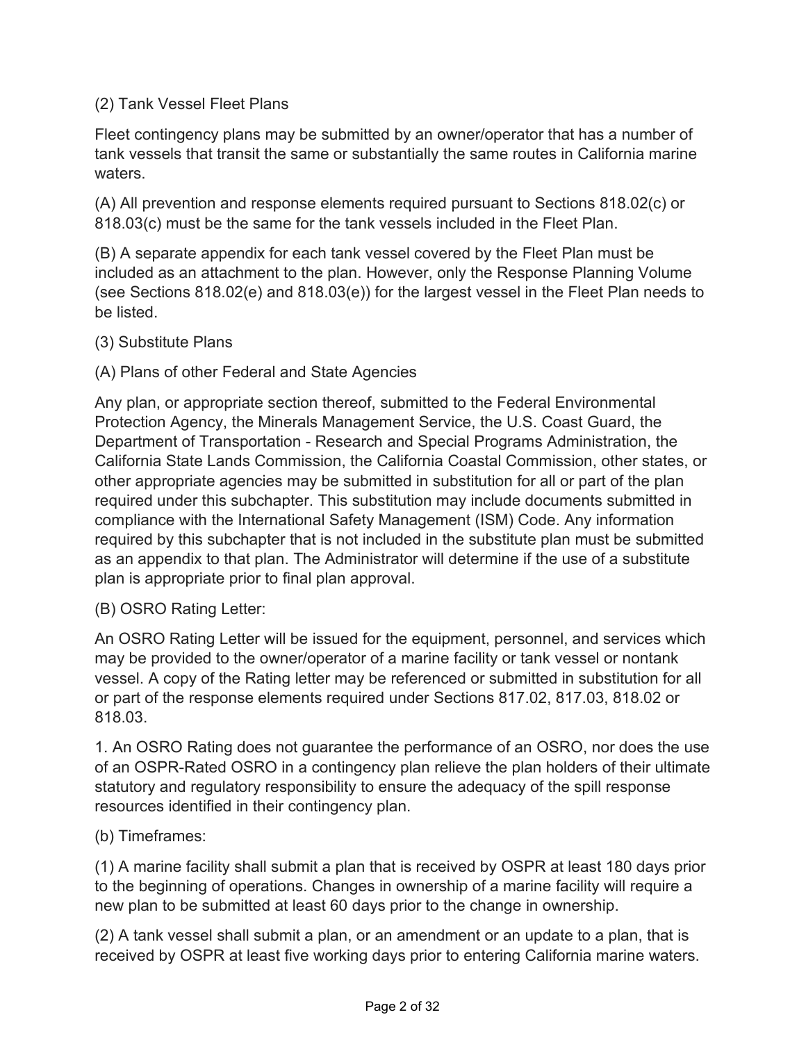## (2) Tank Vessel Fleet Plans

Fleet contingency plans may be submitted by an owner/operator that has a number of tank vessels that transit the same or substantially the same routes in California marine waters.

(A) All prevention and response elements required pursuant to Sections 818.02(c) or 818.03(c) must be the same for the tank vessels included in the Fleet Plan.

(B) A separate appendix for each tank vessel covered by the Fleet Plan must be included as an attachment to the plan. However, only the Response Planning Volume (see Sections 818.02(e) and 818.03(e)) for the largest vessel in the Fleet Plan needs to be listed.

(3) Substitute Plans

(A) Plans of other Federal and State Agencies

Any plan, or appropriate section thereof, submitted to the Federal Environmental Protection Agency, the Minerals Management Service, the U.S. Coast Guard, the Department of Transportation - Research and Special Programs Administration, the California State Lands Commission, the California Coastal Commission, other states, or other appropriate agencies may be submitted in substitution for all or part of the plan required under this subchapter. This substitution may include documents submitted in compliance with the International Safety Management (ISM) Code. Any information required by this subchapter that is not included in the substitute plan must be submitted as an appendix to that plan. The Administrator will determine if the use of a substitute plan is appropriate prior to final plan approval.

(B) OSRO Rating Letter:

An OSRO Rating Letter will be issued for the equipment, personnel, and services which may be provided to the owner/operator of a marine facility or tank vessel or nontank vessel. A copy of the Rating letter may be referenced or submitted in substitution for all or part of the response elements required under Sections 817.02, 817.03, 818.02 or 818.03.

1. An OSRO Rating does not guarantee the performance of an OSRO, nor does the use of an OSPR-Rated OSRO in a contingency plan relieve the plan holders of their ultimate statutory and regulatory responsibility to ensure the adequacy of the spill response resources identified in their contingency plan.

(b) Timeframes:

(1) A marine facility shall submit a plan that is received by OSPR at least 180 days prior to the beginning of operations. Changes in ownership of a marine facility will require a new plan to be submitted at least 60 days prior to the change in ownership.

(2) A tank vessel shall submit a plan, or an amendment or an update to a plan, that is received by OSPR at least five working days prior to entering California marine waters.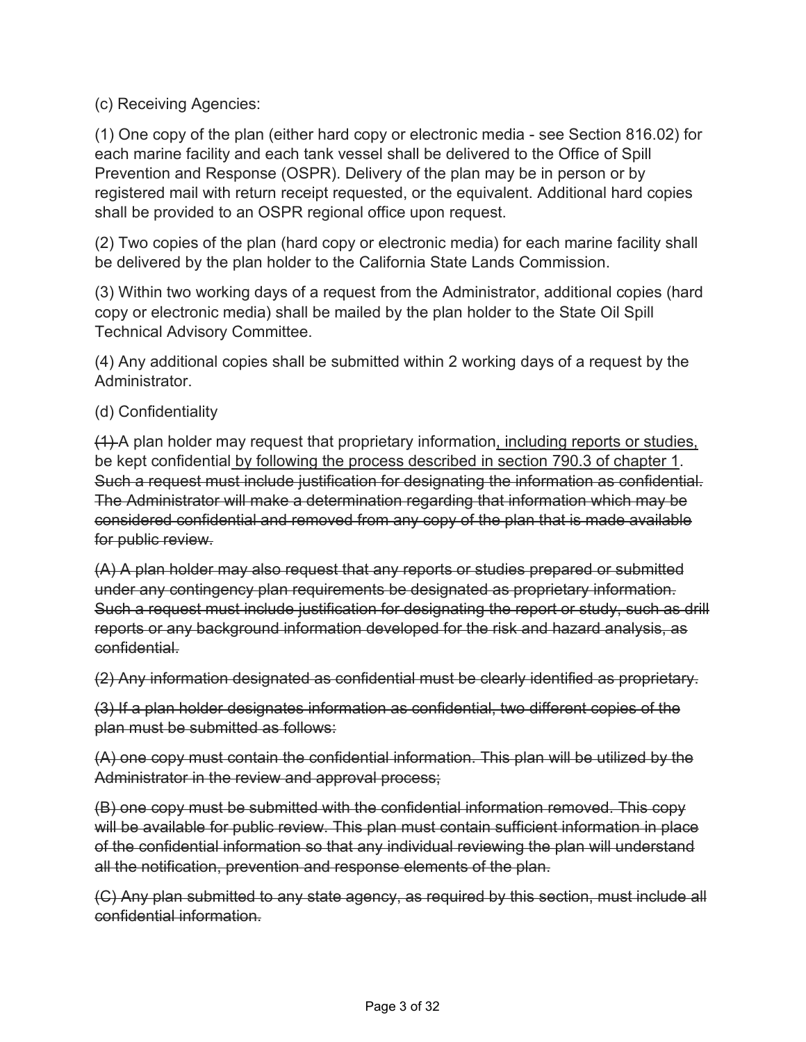(c) Receiving Agencies:

(1) One copy of the plan (either hard copy or electronic media - see Section 816.02) for each marine facility and each tank vessel shall be delivered to the Office of Spill Prevention and Response (OSPR). Delivery of the plan may be in person or by registered mail with return receipt requested, or the equivalent. Additional hard copies shall be provided to an OSPR regional office upon request.

(2) Two copies of the plan (hard copy or electronic media) for each marine facility shall be delivered by the plan holder to the California State Lands Commission.

(3) Within two working days of a request from the Administrator, additional copies (hard copy or electronic media) shall be mailed by the plan holder to the State Oil Spill Technical Advisory Committee.

(4) Any additional copies shall be submitted within 2 working days of a request by the Administrator.

### (d) Confidentiality

(1) A plan holder may request that proprietary information, including reports or studies, be kept confidential by following the process described in section 790.3 of chapter 1. Such a request must include justification for designating the information as confidential. The Administrator will make a determination regarding that information which may be considered confidential and removed from any copy of the plan that is made available for public review.

(A) A plan holder may also request that any reports or studies prepared or submitted under any contingency plan requirements be designated as proprietary information. Such a request must include justification for designating the report or study, such as drill reports or any background information developed for the risk and hazard analysis, as confidential.

(2) Any information designated as confidential must be clearly identified as proprietary.

(3) If a plan holder designates information as confidential, two different copies of the plan must be submitted as follows:

(A) one copy must contain the confidential information. This plan will be utilized by the Administrator in the review and approval process;

(B) one copy must be submitted with the confidential information removed. This copy will be available for public review. This plan must contain sufficient information in place of the confidential information so that any individual reviewing the plan will understand all the notification, prevention and response elements of the plan.

(C) Any plan submitted to any state agency, as required by this section, must include all confidential information.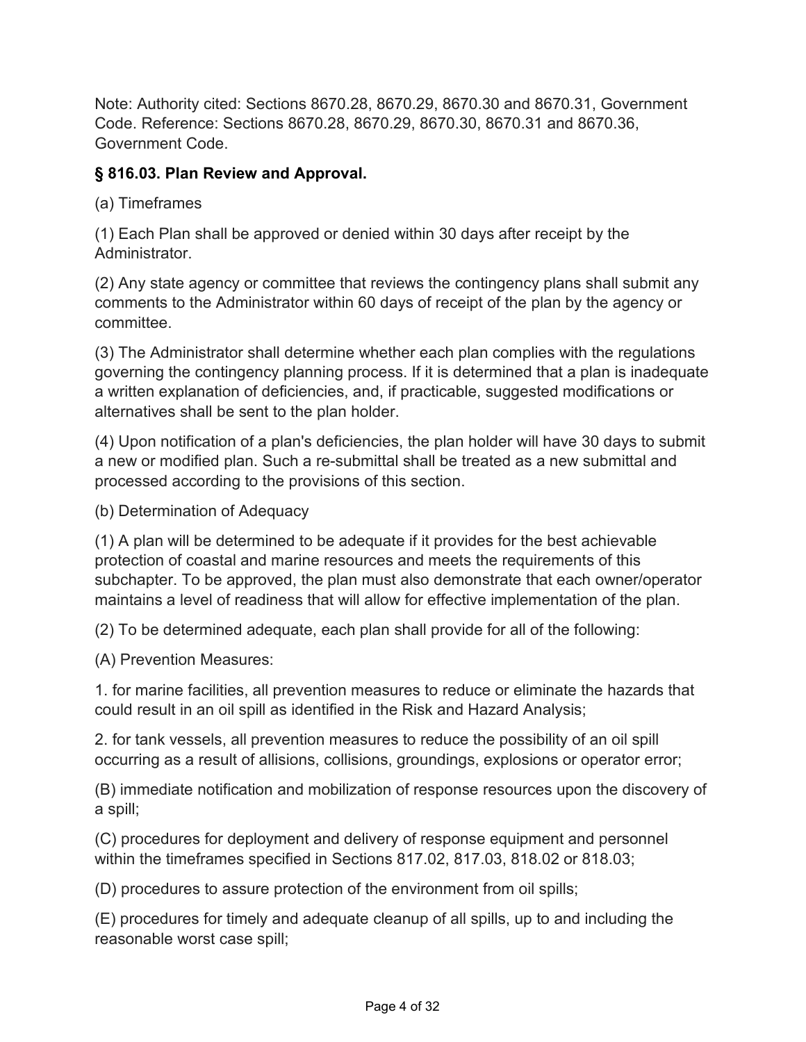Note: Authority cited: Sections 8670.28, 8670.29, 8670.30 and 8670.31, Government Code. Reference: Sections 8670.28, 8670.29, 8670.30, 8670.31 and 8670.36, Government Code.

## **§ 816.03. Plan Review and Approval.**

(a) Timeframes

(1) Each Plan shall be approved or denied within 30 days after receipt by the Administrator.

(2) Any state agency or committee that reviews the contingency plans shall submit any comments to the Administrator within 60 days of receipt of the plan by the agency or committee.

(3) The Administrator shall determine whether each plan complies with the regulations governing the contingency planning process. If it is determined that a plan is inadequate a written explanation of deficiencies, and, if practicable, suggested modifications or alternatives shall be sent to the plan holder.

(4) Upon notification of a plan's deficiencies, the plan holder will have 30 days to submit a new or modified plan. Such a re-submittal shall be treated as a new submittal and processed according to the provisions of this section.

(b) Determination of Adequacy

(1) A plan will be determined to be adequate if it provides for the best achievable protection of coastal and marine resources and meets the requirements of this subchapter. To be approved, the plan must also demonstrate that each owner/operator maintains a level of readiness that will allow for effective implementation of the plan.

(2) To be determined adequate, each plan shall provide for all of the following:

(A) Prevention Measures:

1. for marine facilities, all prevention measures to reduce or eliminate the hazards that could result in an oil spill as identified in the Risk and Hazard Analysis;

2. for tank vessels, all prevention measures to reduce the possibility of an oil spill occurring as a result of allisions, collisions, groundings, explosions or operator error;

(B) immediate notification and mobilization of response resources upon the discovery of a spill;

(C) procedures for deployment and delivery of response equipment and personnel within the timeframes specified in Sections 817.02, 817.03, 818.02 or 818.03;

(D) procedures to assure protection of the environment from oil spills;

(E) procedures for timely and adequate cleanup of all spills, up to and including the reasonable worst case spill;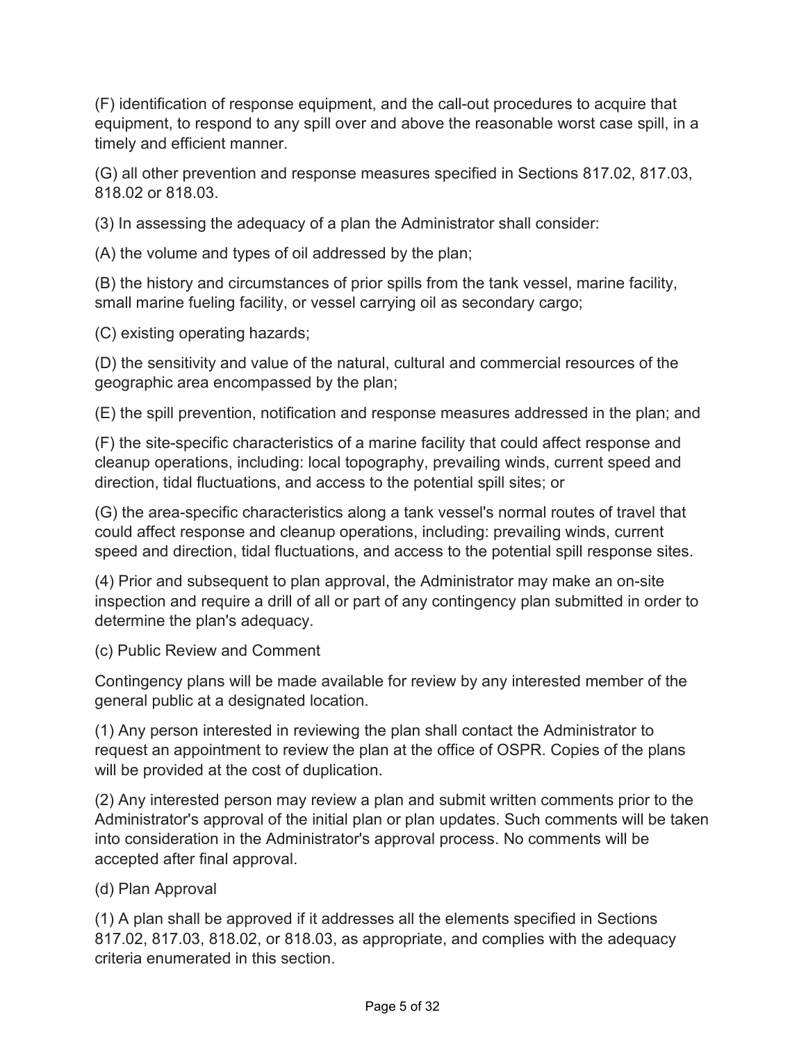(F) identification of response equipment, and the call-out procedures to acquire that equipment, to respond to any spill over and above the reasonable worst case spill, in a timely and efficient manner.

(G) all other prevention and response measures specified in Sections 817.02, 817.03, 818.02 or 818.03.

(3) In assessing the adequacy of a plan the Administrator shall consider:

(A) the volume and types of oil addressed by the plan;

(B) the history and circumstances of prior spills from the tank vessel, marine facility, small marine fueling facility, or vessel carrying oil as secondary cargo;

(C) existing operating hazards;

(D) the sensitivity and value of the natural, cultural and commercial resources of the geographic area encompassed by the plan;

(E) the spill prevention, notification and response measures addressed in the plan; and

(F) the site-specific characteristics of a marine facility that could affect response and cleanup operations, including: local topography, prevailing winds, current speed and direction, tidal fluctuations, and access to the potential spill sites; or

(G) the area-specific characteristics along a tank vessel's normal routes of travel that could affect response and cleanup operations, including: prevailing winds, current speed and direction, tidal fluctuations, and access to the potential spill response sites.

(4) Prior and subsequent to plan approval, the Administrator may make an on-site inspection and require a drill of all or part of any contingency plan submitted in order to determine the plan's adequacy.

(c) Public Review and Comment

Contingency plans will be made available for review by any interested member of the general public at a designated location.

(1) Any person interested in reviewing the plan shall contact the Administrator to request an appointment to review the plan at the office of OSPR. Copies of the plans will be provided at the cost of duplication.

(2) Any interested person may review a plan and submit written comments prior to the Administrator's approval of the initial plan or plan updates. Such comments will be taken into consideration in the Administrator's approval process. No comments will be accepted after final approval.

# (d) Plan Approval

(1) A plan shall be approved if it addresses all the elements specified in Sections 817.02, 817.03, 818.02, or 818.03, as appropriate, and complies with the adequacy criteria enumerated in this section.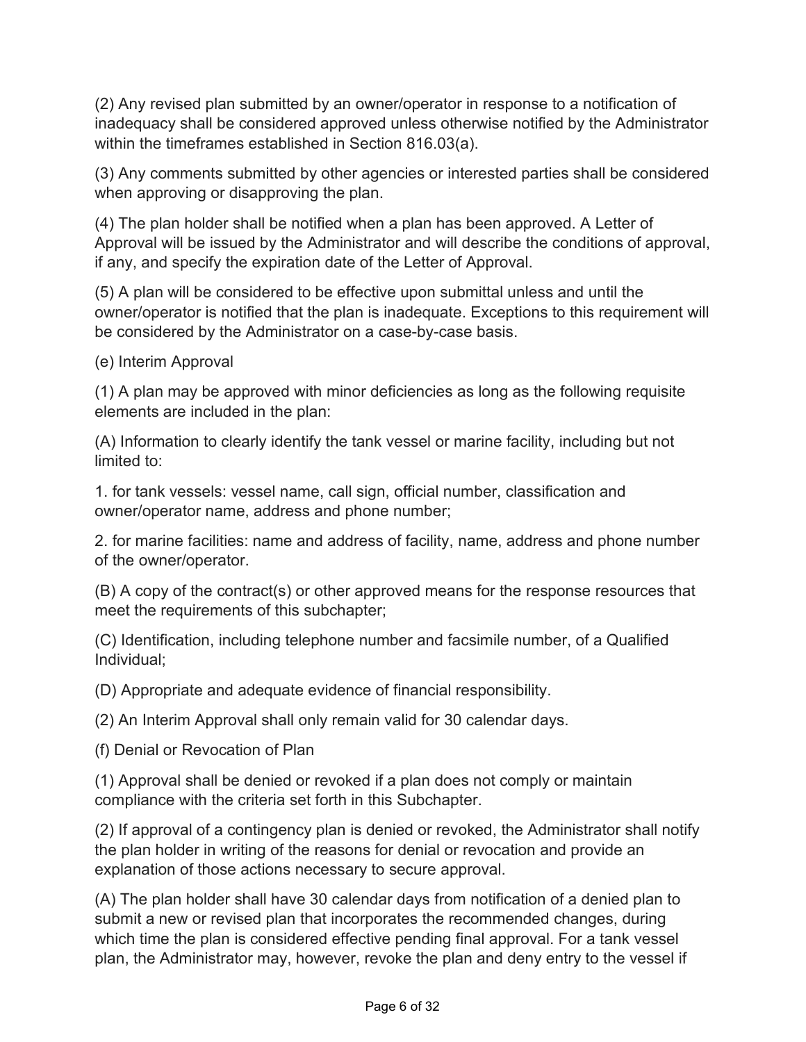(2) Any revised plan submitted by an owner/operator in response to a notification of inadequacy shall be considered approved unless otherwise notified by the Administrator within the timeframes established in Section 816.03(a).

(3) Any comments submitted by other agencies or interested parties shall be considered when approving or disapproving the plan.

(4) The plan holder shall be notified when a plan has been approved. A Letter of Approval will be issued by the Administrator and will describe the conditions of approval, if any, and specify the expiration date of the Letter of Approval.

(5) A plan will be considered to be effective upon submittal unless and until the owner/operator is notified that the plan is inadequate. Exceptions to this requirement will be considered by the Administrator on a case-by-case basis.

(e) Interim Approval

(1) A plan may be approved with minor deficiencies as long as the following requisite elements are included in the plan:

(A) Information to clearly identify the tank vessel or marine facility, including but not limited to:

1. for tank vessels: vessel name, call sign, official number, classification and owner/operator name, address and phone number;

2. for marine facilities: name and address of facility, name, address and phone number of the owner/operator.

(B) A copy of the contract(s) or other approved means for the response resources that meet the requirements of this subchapter;

(C) Identification, including telephone number and facsimile number, of a Qualified Individual;

(D) Appropriate and adequate evidence of financial responsibility.

(2) An Interim Approval shall only remain valid for 30 calendar days.

(f) Denial or Revocation of Plan

(1) Approval shall be denied or revoked if a plan does not comply or maintain compliance with the criteria set forth in this Subchapter.

(2) If approval of a contingency plan is denied or revoked, the Administrator shall notify the plan holder in writing of the reasons for denial or revocation and provide an explanation of those actions necessary to secure approval.

(A) The plan holder shall have 30 calendar days from notification of a denied plan to submit a new or revised plan that incorporates the recommended changes, during which time the plan is considered effective pending final approval. For a tank vessel plan, the Administrator may, however, revoke the plan and deny entry to the vessel if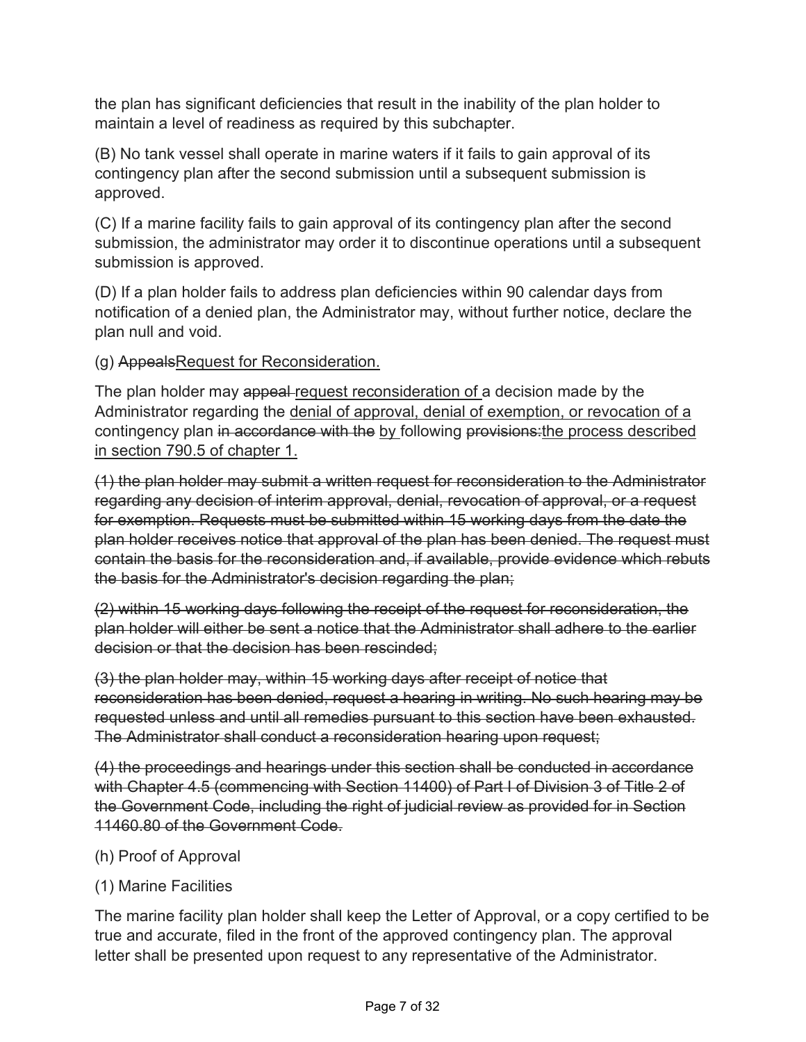the plan has significant deficiencies that result in the inability of the plan holder to maintain a level of readiness as required by this subchapter.

(B) No tank vessel shall operate in marine waters if it fails to gain approval of its contingency plan after the second submission until a subsequent submission is approved.

(C) If a marine facility fails to gain approval of its contingency plan after the second submission, the administrator may order it to discontinue operations until a subsequent submission is approved.

(D) If a plan holder fails to address plan deficiencies within 90 calendar days from notification of a denied plan, the Administrator may, without further notice, declare the plan null and void.

(g) AppealsRequest for Reconsideration.

The plan holder may appeal request reconsideration of a decision made by the Administrator regarding the denial of approval, denial of exemption, or revocation of a contingency plan in accordance with the by following provisions: the process described in section 790.5 of chapter 1.

(1) the plan holder may submit a written request for reconsideration to the Administrator regarding any decision of interim approval, denial, revocation of approval, or a request for exemption. Requests must be submitted within 15 working days from the date the plan holder receives notice that approval of the plan has been denied. The request must contain the basis for the reconsideration and, if available, provide evidence which rebuts the basis for the Administrator's decision regarding the plan;

(2) within 15 working days following the receipt of the request for reconsideration, the plan holder will either be sent a notice that the Administrator shall adhere to the earlier decision or that the decision has been rescinded;

(3) the plan holder may, within 15 working days after receipt of notice that reconsideration has been denied, request a hearing in writing. No such hearing may be requested unless and until all remedies pursuant to this section have been exhausted. The Administrator shall conduct a reconsideration hearing upon request;

(4) the proceedings and hearings under this section shall be conducted in accordance with Chapter 4.5 (commencing with Section 11400) of Part I of Division 3 of Title 2 of the Government Code, including the right of judicial review as provided for in Section 11460.80 of the Government Code.

(h) Proof of Approval

## (1) Marine Facilities

The marine facility plan holder shall keep the Letter of Approval, or a copy certified to be true and accurate, filed in the front of the approved contingency plan. The approval letter shall be presented upon request to any representative of the Administrator.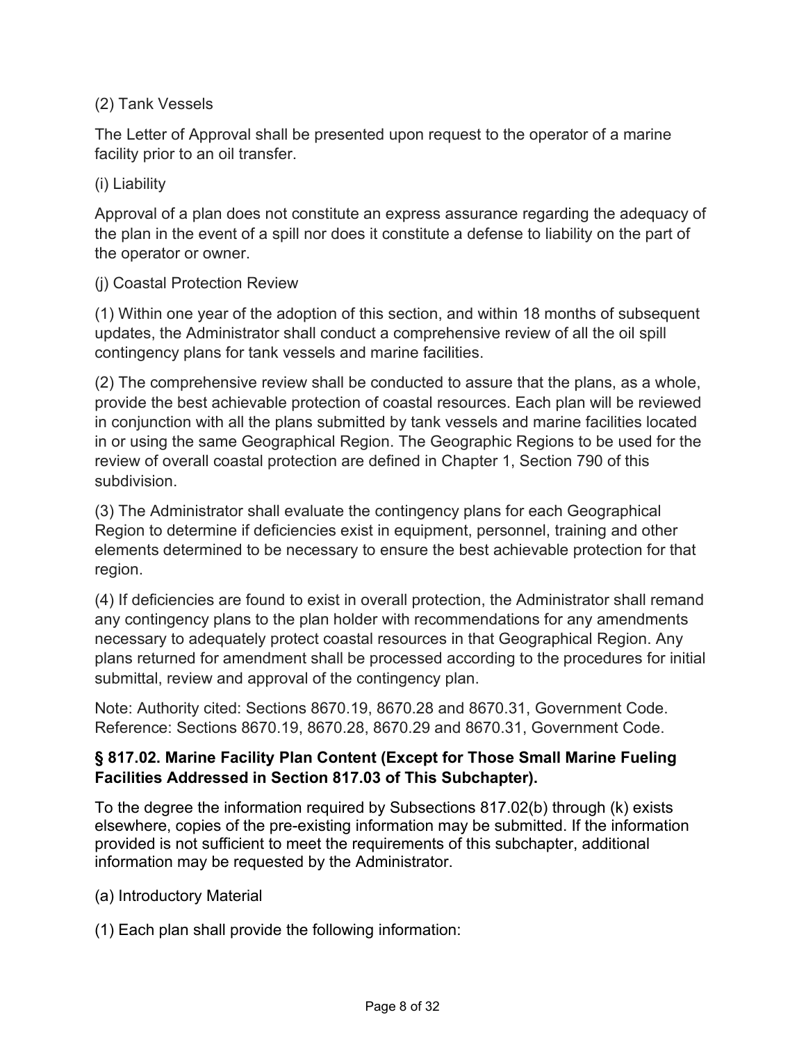## (2) Tank Vessels

The Letter of Approval shall be presented upon request to the operator of a marine facility prior to an oil transfer.

## (i) Liability

Approval of a plan does not constitute an express assurance regarding the adequacy of the plan in the event of a spill nor does it constitute a defense to liability on the part of the operator or owner.

### (j) Coastal Protection Review

(1) Within one year of the adoption of this section, and within 18 months of subsequent updates, the Administrator shall conduct a comprehensive review of all the oil spill contingency plans for tank vessels and marine facilities.

(2) The comprehensive review shall be conducted to assure that the plans, as a whole, provide the best achievable protection of coastal resources. Each plan will be reviewed in conjunction with all the plans submitted by tank vessels and marine facilities located in or using the same Geographical Region. The Geographic Regions to be used for the review of overall coastal protection are defined in Chapter 1, Section 790 of this subdivision.

(3) The Administrator shall evaluate the contingency plans for each Geographical Region to determine if deficiencies exist in equipment, personnel, training and other elements determined to be necessary to ensure the best achievable protection for that region.

(4) If deficiencies are found to exist in overall protection, the Administrator shall remand any contingency plans to the plan holder with recommendations for any amendments necessary to adequately protect coastal resources in that Geographical Region. Any plans returned for amendment shall be processed according to the procedures for initial submittal, review and approval of the contingency plan.

Note: Authority cited: Sections 8670.19, 8670.28 and 8670.31, Government Code. Reference: Sections 8670.19, 8670.28, 8670.29 and 8670.31, Government Code.

## **§ 817.02. Marine Facility Plan Content (Except for Those Small Marine Fueling Facilities Addressed in Section 817.03 of This Subchapter).**

To the degree the information required by Subsections 817.02(b) through (k) exists elsewhere, copies of the pre-existing information may be submitted. If the information provided is not sufficient to meet the requirements of this subchapter, additional information may be requested by the Administrator.

- (a) Introductory Material
- (1) Each plan shall provide the following information: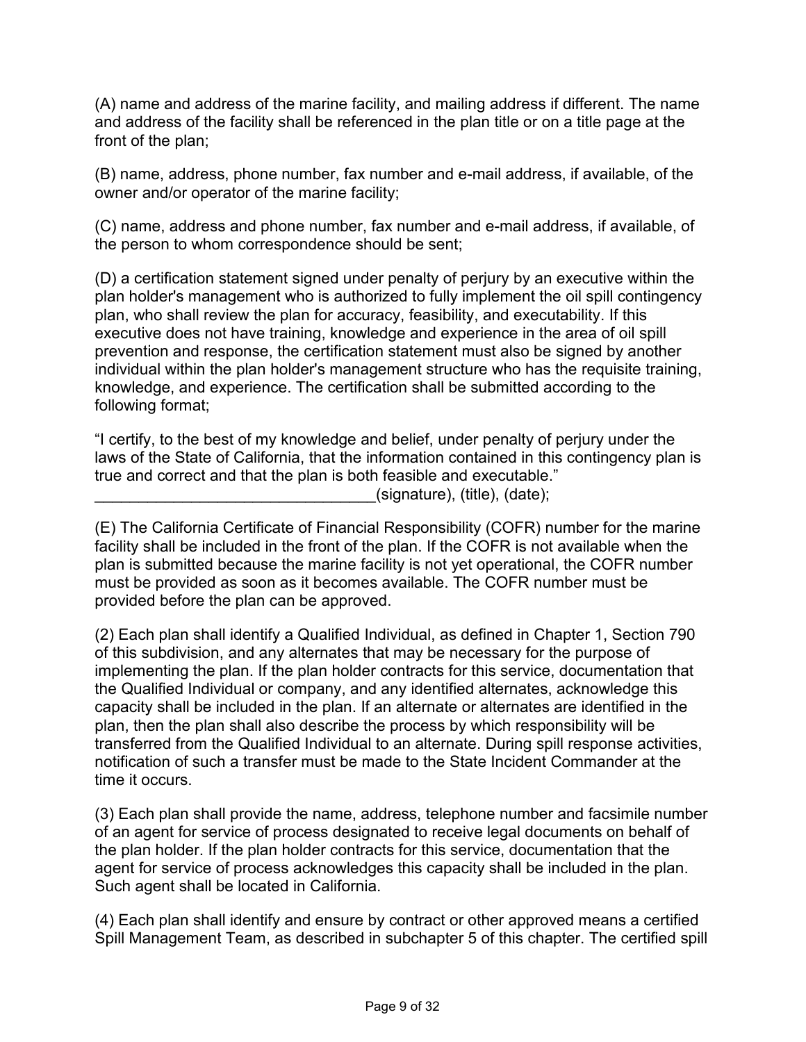(A) name and address of the marine facility, and mailing address if different. The name and address of the facility shall be referenced in the plan title or on a title page at the front of the plan;

(B) name, address, phone number, fax number and e-mail address, if available, of the owner and/or operator of the marine facility;

(C) name, address and phone number, fax number and e-mail address, if available, of the person to whom correspondence should be sent;

(D) a certification statement signed under penalty of perjury by an executive within the plan holder's management who is authorized to fully implement the oil spill contingency plan, who shall review the plan for accuracy, feasibility, and executability. If this executive does not have training, knowledge and experience in the area of oil spill prevention and response, the certification statement must also be signed by another individual within the plan holder's management structure who has the requisite training, knowledge, and experience. The certification shall be submitted according to the following format;

"I certify, to the best of my knowledge and belief, under penalty of perjury under the laws of the State of California, that the information contained in this contingency plan is true and correct and that the plan is both feasible and executable."  $(s$ ignature), (title), (date);

(E) The California Certificate of Financial Responsibility (COFR) number for the marine facility shall be included in the front of the plan. If the COFR is not available when the plan is submitted because the marine facility is not yet operational, the COFR number must be provided as soon as it becomes available. The COFR number must be provided before the plan can be approved.

(2) Each plan shall identify a Qualified Individual, as defined in Chapter 1, Section 790 of this subdivision, and any alternates that may be necessary for the purpose of implementing the plan. If the plan holder contracts for this service, documentation that the Qualified Individual or company, and any identified alternates, acknowledge this capacity shall be included in the plan. If an alternate or alternates are identified in the plan, then the plan shall also describe the process by which responsibility will be transferred from the Qualified Individual to an alternate. During spill response activities, notification of such a transfer must be made to the State Incident Commander at the time it occurs.

(3) Each plan shall provide the name, address, telephone number and facsimile number of an agent for service of process designated to receive legal documents on behalf of the plan holder. If the plan holder contracts for this service, documentation that the agent for service of process acknowledges this capacity shall be included in the plan. Such agent shall be located in California.

(4) Each plan shall identify and ensure by contract or other approved means a certified Spill Management Team, as described in subchapter 5 of this chapter. The certified spill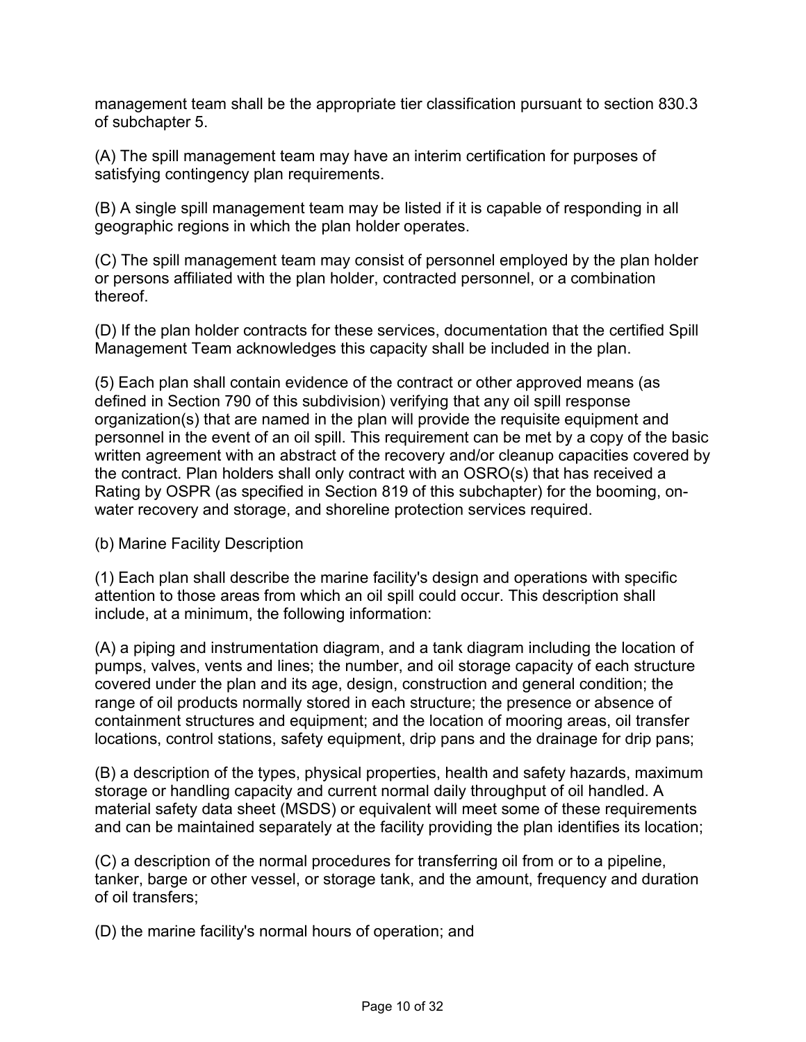management team shall be the appropriate tier classification pursuant to section 830.3 of subchapter 5.

(A) The spill management team may have an interim certification for purposes of satisfying contingency plan requirements.

(B) A single spill management team may be listed if it is capable of responding in all geographic regions in which the plan holder operates.

(C) The spill management team may consist of personnel employed by the plan holder or persons affiliated with the plan holder, contracted personnel, or a combination thereof.

(D) If the plan holder contracts for these services, documentation that the certified Spill Management Team acknowledges this capacity shall be included in the plan.

(5) Each plan shall contain evidence of the contract or other approved means (as defined in Section 790 of this subdivision) verifying that any oil spill response organization(s) that are named in the plan will provide the requisite equipment and personnel in the event of an oil spill. This requirement can be met by a copy of the basic written agreement with an abstract of the recovery and/or cleanup capacities covered by the contract. Plan holders shall only contract with an OSRO(s) that has received a Rating by OSPR (as specified in Section 819 of this subchapter) for the booming, onwater recovery and storage, and shoreline protection services required.

(b) Marine Facility Description

(1) Each plan shall describe the marine facility's design and operations with specific attention to those areas from which an oil spill could occur. This description shall include, at a minimum, the following information:

(A) a piping and instrumentation diagram, and a tank diagram including the location of pumps, valves, vents and lines; the number, and oil storage capacity of each structure covered under the plan and its age, design, construction and general condition; the range of oil products normally stored in each structure; the presence or absence of containment structures and equipment; and the location of mooring areas, oil transfer locations, control stations, safety equipment, drip pans and the drainage for drip pans;

(B) a description of the types, physical properties, health and safety hazards, maximum storage or handling capacity and current normal daily throughput of oil handled. A material safety data sheet (MSDS) or equivalent will meet some of these requirements and can be maintained separately at the facility providing the plan identifies its location;

(C) a description of the normal procedures for transferring oil from or to a pipeline, tanker, barge or other vessel, or storage tank, and the amount, frequency and duration of oil transfers;

(D) the marine facility's normal hours of operation; and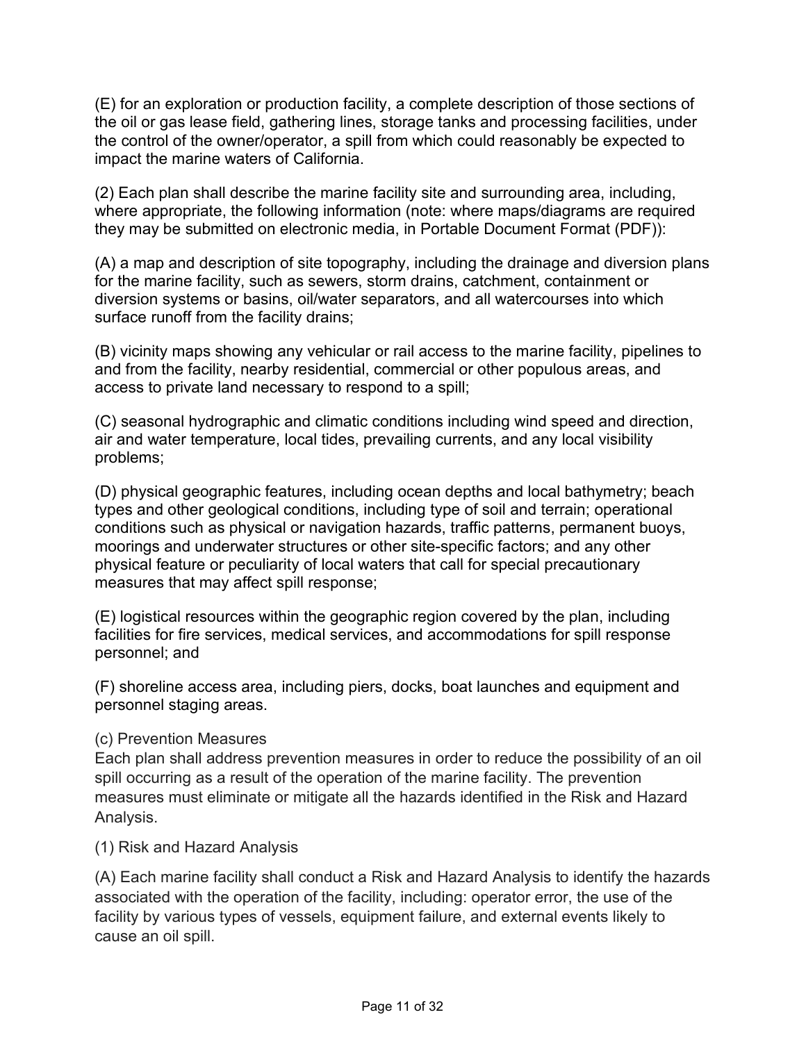(E) for an exploration or production facility, a complete description of those sections of the oil or gas lease field, gathering lines, storage tanks and processing facilities, under the control of the owner/operator, a spill from which could reasonably be expected to impact the marine waters of California.

(2) Each plan shall describe the marine facility site and surrounding area, including, where appropriate, the following information (note: where maps/diagrams are required they may be submitted on electronic media, in Portable Document Format (PDF)):

(A) a map and description of site topography, including the drainage and diversion plans for the marine facility, such as sewers, storm drains, catchment, containment or diversion systems or basins, oil/water separators, and all watercourses into which surface runoff from the facility drains;

(B) vicinity maps showing any vehicular or rail access to the marine facility, pipelines to and from the facility, nearby residential, commercial or other populous areas, and access to private land necessary to respond to a spill;

(C) seasonal hydrographic and climatic conditions including wind speed and direction, air and water temperature, local tides, prevailing currents, and any local visibility problems;

(D) physical geographic features, including ocean depths and local bathymetry; beach types and other geological conditions, including type of soil and terrain; operational conditions such as physical or navigation hazards, traffic patterns, permanent buoys, moorings and underwater structures or other site-specific factors; and any other physical feature or peculiarity of local waters that call for special precautionary measures that may affect spill response;

(E) logistical resources within the geographic region covered by the plan, including facilities for fire services, medical services, and accommodations for spill response personnel; and

(F) shoreline access area, including piers, docks, boat launches and equipment and personnel staging areas.

#### (c) Prevention Measures

Each plan shall address prevention measures in order to reduce the possibility of an oil spill occurring as a result of the operation of the marine facility. The prevention measures must eliminate or mitigate all the hazards identified in the Risk and Hazard Analysis.

#### (1) Risk and Hazard Analysis

(A) Each marine facility shall conduct a Risk and Hazard Analysis to identify the hazards associated with the operation of the facility, including: operator error, the use of the facility by various types of vessels, equipment failure, and external events likely to cause an oil spill.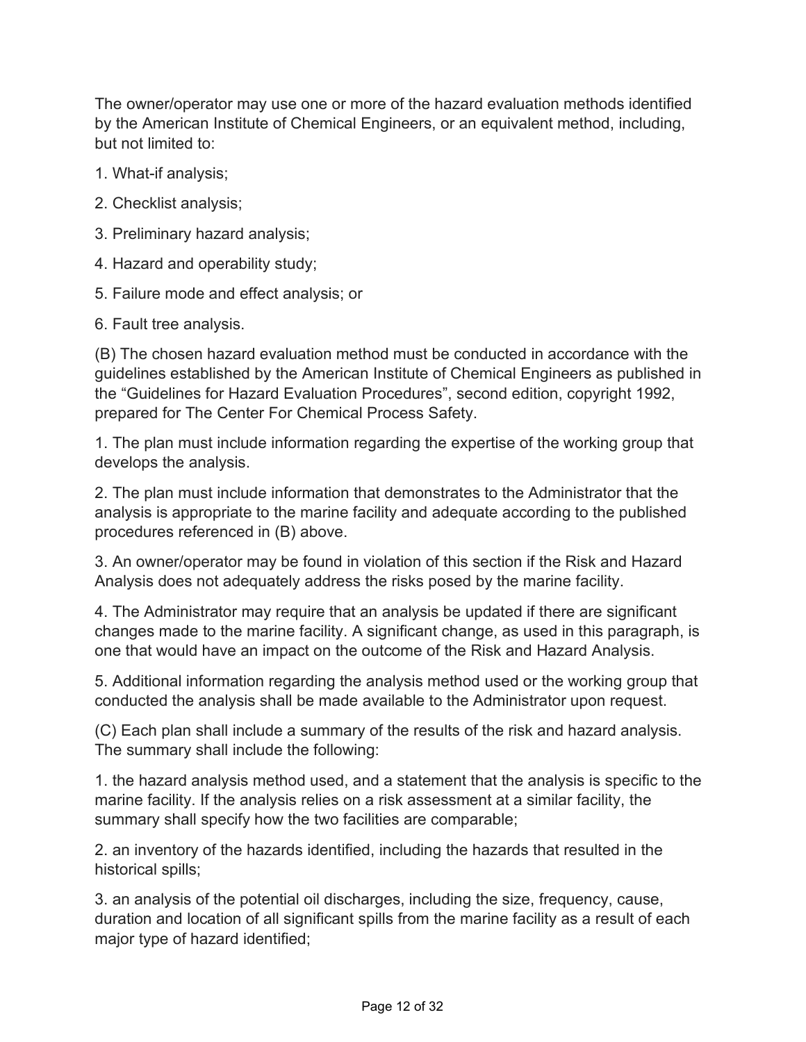The owner/operator may use one or more of the hazard evaluation methods identified by the American Institute of Chemical Engineers, or an equivalent method, including, but not limited to:

- 1. What-if analysis;
- 2. Checklist analysis;
- 3. Preliminary hazard analysis;
- 4. Hazard and operability study;
- 5. Failure mode and effect analysis; or
- 6. Fault tree analysis.

(B) The chosen hazard evaluation method must be conducted in accordance with the guidelines established by the American Institute of Chemical Engineers as published in the "Guidelines for Hazard Evaluation Procedures", second edition, copyright 1992, prepared for The Center For Chemical Process Safety.

1. The plan must include information regarding the expertise of the working group that develops the analysis.

2. The plan must include information that demonstrates to the Administrator that the analysis is appropriate to the marine facility and adequate according to the published procedures referenced in (B) above.

3. An owner/operator may be found in violation of this section if the Risk and Hazard Analysis does not adequately address the risks posed by the marine facility.

4. The Administrator may require that an analysis be updated if there are significant changes made to the marine facility. A significant change, as used in this paragraph, is one that would have an impact on the outcome of the Risk and Hazard Analysis.

5. Additional information regarding the analysis method used or the working group that conducted the analysis shall be made available to the Administrator upon request.

(C) Each plan shall include a summary of the results of the risk and hazard analysis. The summary shall include the following:

1. the hazard analysis method used, and a statement that the analysis is specific to the marine facility. If the analysis relies on a risk assessment at a similar facility, the summary shall specify how the two facilities are comparable;

2. an inventory of the hazards identified, including the hazards that resulted in the historical spills;

3. an analysis of the potential oil discharges, including the size, frequency, cause, duration and location of all significant spills from the marine facility as a result of each major type of hazard identified;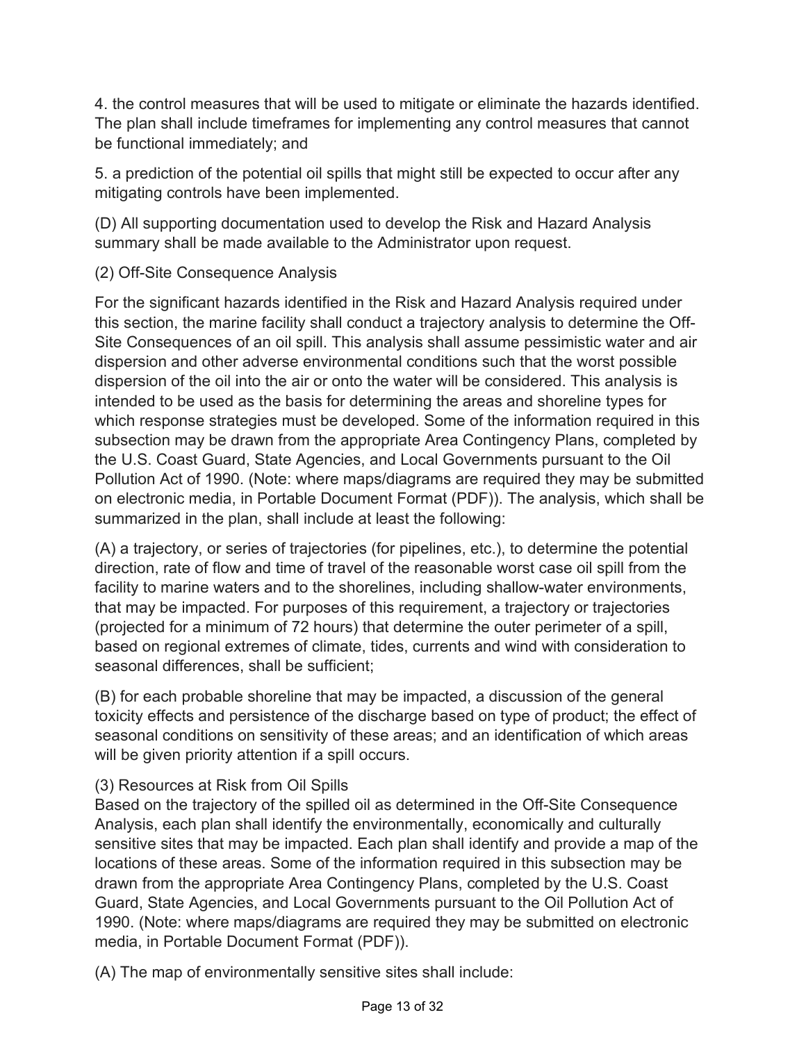4. the control measures that will be used to mitigate or eliminate the hazards identified. The plan shall include timeframes for implementing any control measures that cannot be functional immediately; and

5. a prediction of the potential oil spills that might still be expected to occur after any mitigating controls have been implemented.

(D) All supporting documentation used to develop the Risk and Hazard Analysis summary shall be made available to the Administrator upon request.

## (2) Off-Site Consequence Analysis

For the significant hazards identified in the Risk and Hazard Analysis required under this section, the marine facility shall conduct a trajectory analysis to determine the Off-Site Consequences of an oil spill. This analysis shall assume pessimistic water and air dispersion and other adverse environmental conditions such that the worst possible dispersion of the oil into the air or onto the water will be considered. This analysis is intended to be used as the basis for determining the areas and shoreline types for which response strategies must be developed. Some of the information required in this subsection may be drawn from the appropriate Area Contingency Plans, completed by the U.S. Coast Guard, State Agencies, and Local Governments pursuant to the Oil Pollution Act of 1990. (Note: where maps/diagrams are required they may be submitted on electronic media, in Portable Document Format (PDF)). The analysis, which shall be summarized in the plan, shall include at least the following:

(A) a trajectory, or series of trajectories (for pipelines, etc.), to determine the potential direction, rate of flow and time of travel of the reasonable worst case oil spill from the facility to marine waters and to the shorelines, including shallow-water environments, that may be impacted. For purposes of this requirement, a trajectory or trajectories (projected for a minimum of 72 hours) that determine the outer perimeter of a spill, based on regional extremes of climate, tides, currents and wind with consideration to seasonal differences, shall be sufficient;

(B) for each probable shoreline that may be impacted, a discussion of the general toxicity effects and persistence of the discharge based on type of product; the effect of seasonal conditions on sensitivity of these areas; and an identification of which areas will be given priority attention if a spill occurs.

# (3) Resources at Risk from Oil Spills

Based on the trajectory of the spilled oil as determined in the Off-Site Consequence Analysis, each plan shall identify the environmentally, economically and culturally sensitive sites that may be impacted. Each plan shall identify and provide a map of the locations of these areas. Some of the information required in this subsection may be drawn from the appropriate Area Contingency Plans, completed by the U.S. Coast Guard, State Agencies, and Local Governments pursuant to the Oil Pollution Act of 1990. (Note: where maps/diagrams are required they may be submitted on electronic media, in Portable Document Format (PDF)).

(A) The map of environmentally sensitive sites shall include: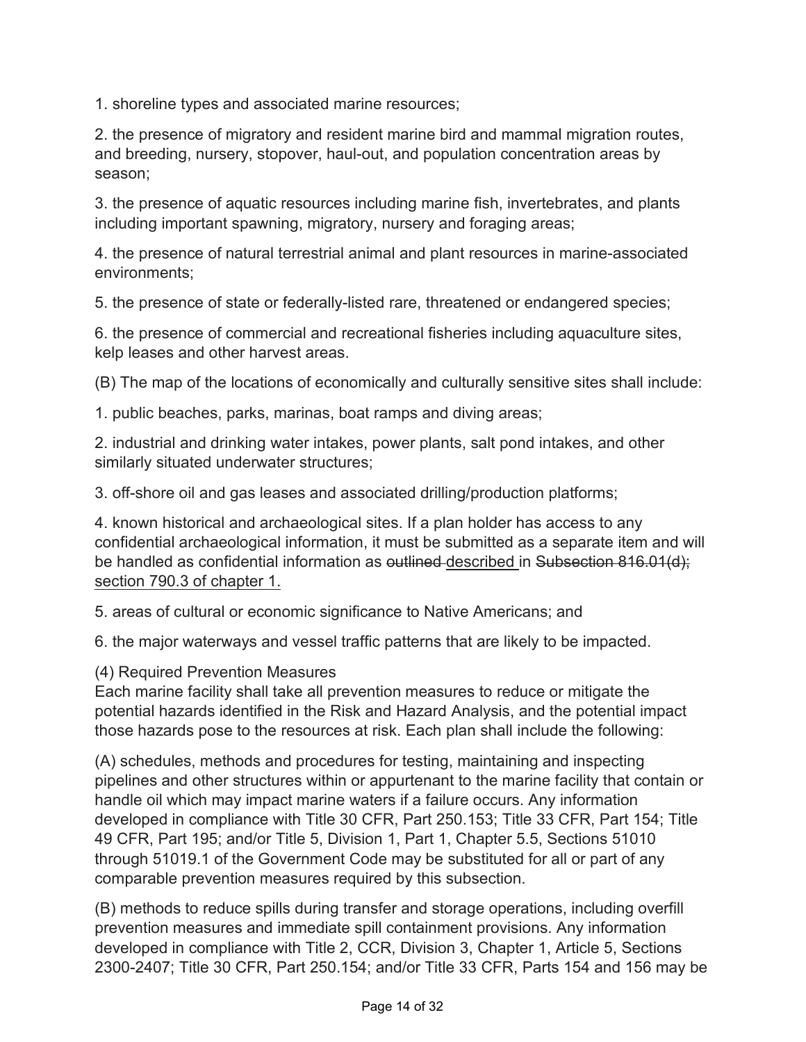1. shoreline types and associated marine resources;

2. the presence of migratory and resident marine bird and mammal migration routes, and breeding, nursery, stopover, haul-out, and population concentration areas by season;

3. the presence of aquatic resources including marine fish, invertebrates, and plants including important spawning, migratory, nursery and foraging areas;

4. the presence of natural terrestrial animal and plant resources in marine-associated environments;

5. the presence of state or federally-listed rare, threatened or endangered species;

6. the presence of commercial and recreational fisheries including aquaculture sites, kelp leases and other harvest areas.

(B) The map of the locations of economically and culturally sensitive sites shall include:

1. public beaches, parks, marinas, boat ramps and diving areas;

2. industrial and drinking water intakes, power plants, salt pond intakes, and other similarly situated underwater structures;

3. off-shore oil and gas leases and associated drilling/production platforms;

4. known historical and archaeological sites. If a plan holder has access to any confidential archaeological information, it must be submitted as a separate item and will be handled as confidential information as outlined described in Subsection 816.01(d); section 790.3 of chapter 1.

5. areas of cultural or economic significance to Native Americans; and

6. the major waterways and vessel traffic patterns that are likely to be impacted.

(4) Required Prevention Measures

Each marine facility shall take all prevention measures to reduce or mitigate the potential hazards identified in the Risk and Hazard Analysis, and the potential impact those hazards pose to the resources at risk. Each plan shall include the following:

(A) schedules, methods and procedures for testing, maintaining and inspecting pipelines and other structures within or appurtenant to the marine facility that contain or handle oil which may impact marine waters if a failure occurs. Any information developed in compliance with Title 30 CFR, Part 250.153; Title 33 CFR, Part 154; Title 49 CFR, Part 195; and/or Title 5, Division 1, Part 1, Chapter 5.5, Sections 51010 through 51019.1 of the Government Code may be substituted for all or part of any comparable prevention measures required by this subsection.

(B) methods to reduce spills during transfer and storage operations, including overfill prevention measures and immediate spill containment provisions. Any information developed in compliance with Title 2, CCR, Division 3, Chapter 1, Article 5, Sections 2300-2407; Title 30 CFR, Part 250.154; and/or Title 33 CFR, Parts 154 and 156 may be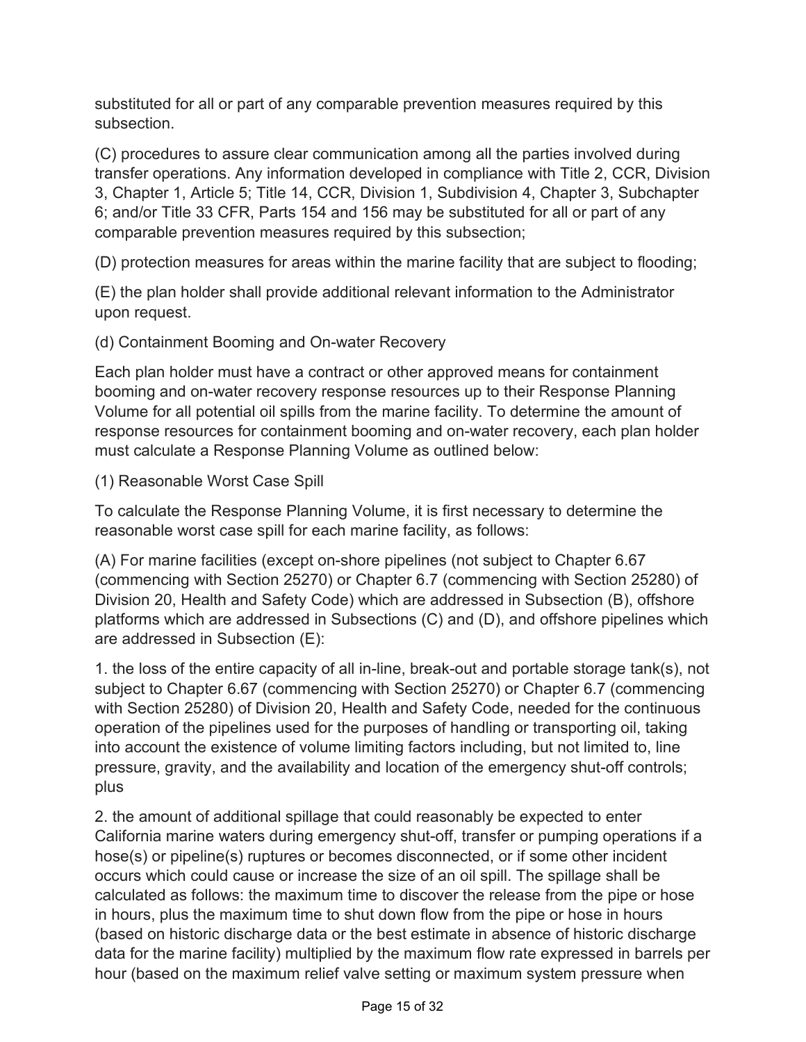substituted for all or part of any comparable prevention measures required by this subsection.

(C) procedures to assure clear communication among all the parties involved during transfer operations. Any information developed in compliance with Title 2, CCR, Division 3, Chapter 1, Article 5; Title 14, CCR, Division 1, Subdivision 4, Chapter 3, Subchapter 6; and/or Title 33 CFR, Parts 154 and 156 may be substituted for all or part of any comparable prevention measures required by this subsection;

(D) protection measures for areas within the marine facility that are subject to flooding;

(E) the plan holder shall provide additional relevant information to the Administrator upon request.

(d) Containment Booming and On-water Recovery

Each plan holder must have a contract or other approved means for containment booming and on-water recovery response resources up to their Response Planning Volume for all potential oil spills from the marine facility. To determine the amount of response resources for containment booming and on-water recovery, each plan holder must calculate a Response Planning Volume as outlined below:

### (1) Reasonable Worst Case Spill

To calculate the Response Planning Volume, it is first necessary to determine the reasonable worst case spill for each marine facility, as follows:

(A) For marine facilities (except on-shore pipelines (not subject to Chapter 6.67 (commencing with Section 25270) or Chapter 6.7 (commencing with Section 25280) of Division 20, Health and Safety Code) which are addressed in Subsection (B), offshore platforms which are addressed in Subsections (C) and (D), and offshore pipelines which are addressed in Subsection (E):

1. the loss of the entire capacity of all in-line, break-out and portable storage tank(s), not subject to Chapter 6.67 (commencing with Section 25270) or Chapter 6.7 (commencing with Section 25280) of Division 20, Health and Safety Code, needed for the continuous operation of the pipelines used for the purposes of handling or transporting oil, taking into account the existence of volume limiting factors including, but not limited to, line pressure, gravity, and the availability and location of the emergency shut-off controls; plus

2. the amount of additional spillage that could reasonably be expected to enter California marine waters during emergency shut-off, transfer or pumping operations if a hose(s) or pipeline(s) ruptures or becomes disconnected, or if some other incident occurs which could cause or increase the size of an oil spill. The spillage shall be calculated as follows: the maximum time to discover the release from the pipe or hose in hours, plus the maximum time to shut down flow from the pipe or hose in hours (based on historic discharge data or the best estimate in absence of historic discharge data for the marine facility) multiplied by the maximum flow rate expressed in barrels per hour (based on the maximum relief valve setting or maximum system pressure when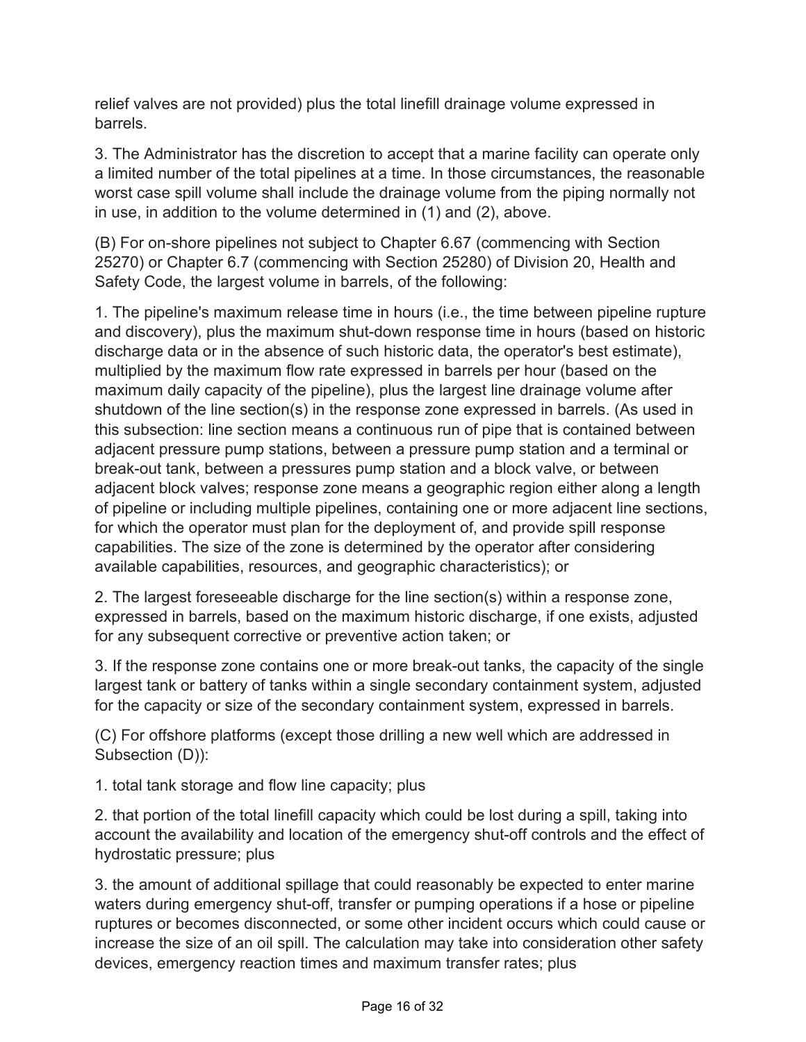relief valves are not provided) plus the total linefill drainage volume expressed in barrels.

3. The Administrator has the discretion to accept that a marine facility can operate only a limited number of the total pipelines at a time. In those circumstances, the reasonable worst case spill volume shall include the drainage volume from the piping normally not in use, in addition to the volume determined in (1) and (2), above.

(B) For on-shore pipelines not subject to Chapter 6.67 (commencing with Section 25270) or Chapter 6.7 (commencing with Section 25280) of Division 20, Health and Safety Code, the largest volume in barrels, of the following:

1. The pipeline's maximum release time in hours (i.e., the time between pipeline rupture and discovery), plus the maximum shut-down response time in hours (based on historic discharge data or in the absence of such historic data, the operator's best estimate), multiplied by the maximum flow rate expressed in barrels per hour (based on the maximum daily capacity of the pipeline), plus the largest line drainage volume after shutdown of the line section(s) in the response zone expressed in barrels. (As used in this subsection: line section means a continuous run of pipe that is contained between adjacent pressure pump stations, between a pressure pump station and a terminal or break-out tank, between a pressures pump station and a block valve, or between adjacent block valves; response zone means a geographic region either along a length of pipeline or including multiple pipelines, containing one or more adjacent line sections, for which the operator must plan for the deployment of, and provide spill response capabilities. The size of the zone is determined by the operator after considering available capabilities, resources, and geographic characteristics); or

2. The largest foreseeable discharge for the line section(s) within a response zone, expressed in barrels, based on the maximum historic discharge, if one exists, adjusted for any subsequent corrective or preventive action taken; or

3. If the response zone contains one or more break-out tanks, the capacity of the single largest tank or battery of tanks within a single secondary containment system, adjusted for the capacity or size of the secondary containment system, expressed in barrels.

(C) For offshore platforms (except those drilling a new well which are addressed in Subsection (D)):

1. total tank storage and flow line capacity; plus

2. that portion of the total linefill capacity which could be lost during a spill, taking into account the availability and location of the emergency shut-off controls and the effect of hydrostatic pressure; plus

3. the amount of additional spillage that could reasonably be expected to enter marine waters during emergency shut-off, transfer or pumping operations if a hose or pipeline ruptures or becomes disconnected, or some other incident occurs which could cause or increase the size of an oil spill. The calculation may take into consideration other safety devices, emergency reaction times and maximum transfer rates; plus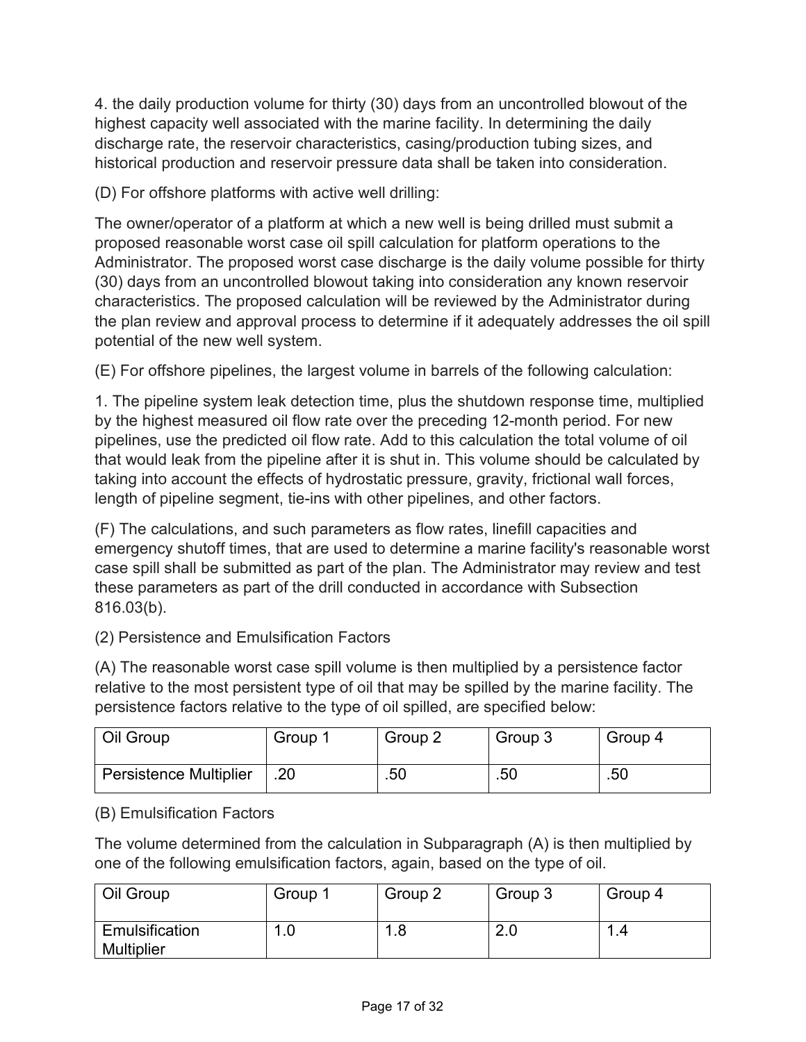4. the daily production volume for thirty (30) days from an uncontrolled blowout of the highest capacity well associated with the marine facility. In determining the daily discharge rate, the reservoir characteristics, casing/production tubing sizes, and historical production and reservoir pressure data shall be taken into consideration.

(D) For offshore platforms with active well drilling:

The owner/operator of a platform at which a new well is being drilled must submit a proposed reasonable worst case oil spill calculation for platform operations to the Administrator. The proposed worst case discharge is the daily volume possible for thirty (30) days from an uncontrolled blowout taking into consideration any known reservoir characteristics. The proposed calculation will be reviewed by the Administrator during the plan review and approval process to determine if it adequately addresses the oil spill potential of the new well system.

(E) For offshore pipelines, the largest volume in barrels of the following calculation:

1. The pipeline system leak detection time, plus the shutdown response time, multiplied by the highest measured oil flow rate over the preceding 12-month period. For new pipelines, use the predicted oil flow rate. Add to this calculation the total volume of oil that would leak from the pipeline after it is shut in. This volume should be calculated by taking into account the effects of hydrostatic pressure, gravity, frictional wall forces, length of pipeline segment, tie-ins with other pipelines, and other factors.

(F) The calculations, and such parameters as flow rates, linefill capacities and emergency shutoff times, that are used to determine a marine facility's reasonable worst case spill shall be submitted as part of the plan. The Administrator may review and test these parameters as part of the drill conducted in accordance with Subsection 816.03(b).

(2) Persistence and Emulsification Factors

(A) The reasonable worst case spill volume is then multiplied by a persistence factor relative to the most persistent type of oil that may be spilled by the marine facility. The persistence factors relative to the type of oil spilled, are specified below:

| Oil Group                     | Group 1 | Group 2 | Group 3 | Group 4 |
|-------------------------------|---------|---------|---------|---------|
| <b>Persistence Multiplier</b> | .20     | .50     | .50     | .50     |

## (B) Emulsification Factors

The volume determined from the calculation in Subparagraph (A) is then multiplied by one of the following emulsification factors, again, based on the type of oil.

| Oil Group                           | Group <sup>1</sup> | Group 2   | Group 3 | Group 4  |
|-------------------------------------|--------------------|-----------|---------|----------|
| Emulsification<br><b>Multiplier</b> | .0                 | l.8<br>л. | Z.U     | и<br>1.4 |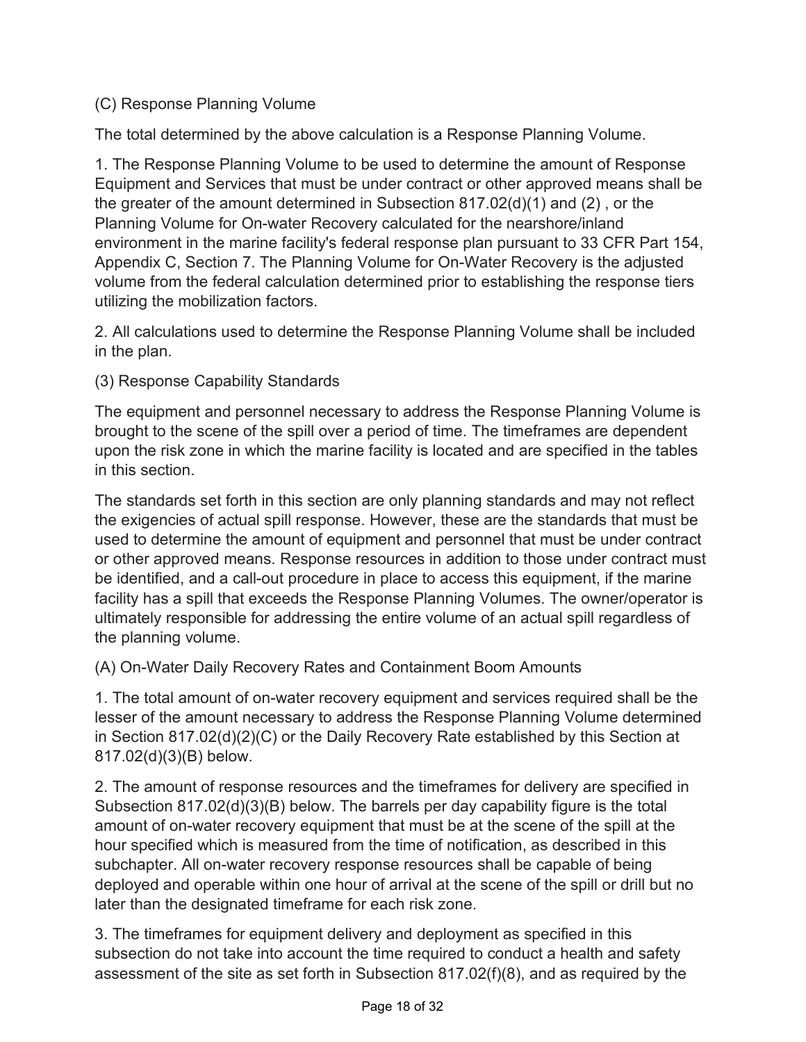## (C) Response Planning Volume

The total determined by the above calculation is a Response Planning Volume.

1. The Response Planning Volume to be used to determine the amount of Response Equipment and Services that must be under contract or other approved means shall be the greater of the amount determined in Subsection 817.02(d)(1) and (2) , or the Planning Volume for On-water Recovery calculated for the nearshore/inland environment in the marine facility's federal response plan pursuant to 33 CFR Part 154, Appendix C, Section 7. The Planning Volume for On-Water Recovery is the adjusted volume from the federal calculation determined prior to establishing the response tiers utilizing the mobilization factors.

2. All calculations used to determine the Response Planning Volume shall be included in the plan.

## (3) Response Capability Standards

The equipment and personnel necessary to address the Response Planning Volume is brought to the scene of the spill over a period of time. The timeframes are dependent upon the risk zone in which the marine facility is located and are specified in the tables in this section.

The standards set forth in this section are only planning standards and may not reflect the exigencies of actual spill response. However, these are the standards that must be used to determine the amount of equipment and personnel that must be under contract or other approved means. Response resources in addition to those under contract must be identified, and a call-out procedure in place to access this equipment, if the marine facility has a spill that exceeds the Response Planning Volumes. The owner/operator is ultimately responsible for addressing the entire volume of an actual spill regardless of the planning volume.

(A) On-Water Daily Recovery Rates and Containment Boom Amounts

1. The total amount of on-water recovery equipment and services required shall be the lesser of the amount necessary to address the Response Planning Volume determined in Section 817.02(d)(2)(C) or the Daily Recovery Rate established by this Section at 817.02(d)(3)(B) below.

2. The amount of response resources and the timeframes for delivery are specified in Subsection 817.02(d)(3)(B) below. The barrels per day capability figure is the total amount of on-water recovery equipment that must be at the scene of the spill at the hour specified which is measured from the time of notification, as described in this subchapter. All on-water recovery response resources shall be capable of being deployed and operable within one hour of arrival at the scene of the spill or drill but no later than the designated timeframe for each risk zone.

3. The timeframes for equipment delivery and deployment as specified in this subsection do not take into account the time required to conduct a health and safety assessment of the site as set forth in Subsection 817.02(f)(8), and as required by the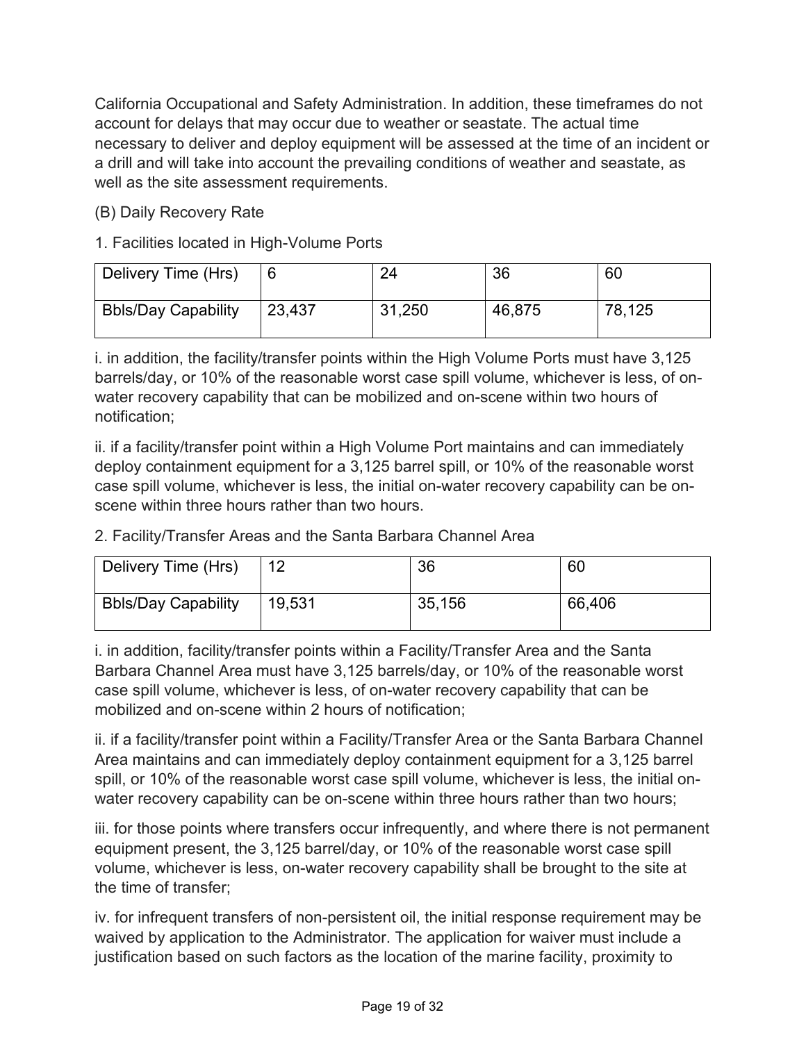California Occupational and Safety Administration. In addition, these timeframes do not account for delays that may occur due to weather or seastate. The actual time necessary to deliver and deploy equipment will be assessed at the time of an incident or a drill and will take into account the prevailing conditions of weather and seastate, as well as the site assessment requirements.

## (B) Daily Recovery Rate

## 1. Facilities located in High-Volume Ports

| Delivery Time (Hrs)        |        | 24     | 36     | 60     |
|----------------------------|--------|--------|--------|--------|
| <b>Bbls/Day Capability</b> | 23,437 | 31,250 | 46,875 | 78,125 |

i. in addition, the facility/transfer points within the High Volume Ports must have 3,125 barrels/day, or 10% of the reasonable worst case spill volume, whichever is less, of onwater recovery capability that can be mobilized and on-scene within two hours of notification;

ii. if a facility/transfer point within a High Volume Port maintains and can immediately deploy containment equipment for a 3,125 barrel spill, or 10% of the reasonable worst case spill volume, whichever is less, the initial on-water recovery capability can be onscene within three hours rather than two hours.

|  |  |  |  | 2. Facility/Transfer Areas and the Santa Barbara Channel Area |  |
|--|--|--|--|---------------------------------------------------------------|--|
|  |  |  |  |                                                               |  |

| Delivery Time (Hrs)        | 12     | 36     | 60     |
|----------------------------|--------|--------|--------|
| <b>Bbls/Day Capability</b> | 19,531 | 35,156 | 66,406 |

i. in addition, facility/transfer points within a Facility/Transfer Area and the Santa Barbara Channel Area must have 3,125 barrels/day, or 10% of the reasonable worst case spill volume, whichever is less, of on-water recovery capability that can be mobilized and on-scene within 2 hours of notification;

ii. if a facility/transfer point within a Facility/Transfer Area or the Santa Barbara Channel Area maintains and can immediately deploy containment equipment for a 3,125 barrel spill, or 10% of the reasonable worst case spill volume, whichever is less, the initial onwater recovery capability can be on-scene within three hours rather than two hours;

iii. for those points where transfers occur infrequently, and where there is not permanent equipment present, the 3,125 barrel/day, or 10% of the reasonable worst case spill volume, whichever is less, on-water recovery capability shall be brought to the site at the time of transfer;

iv. for infrequent transfers of non-persistent oil, the initial response requirement may be waived by application to the Administrator. The application for waiver must include a justification based on such factors as the location of the marine facility, proximity to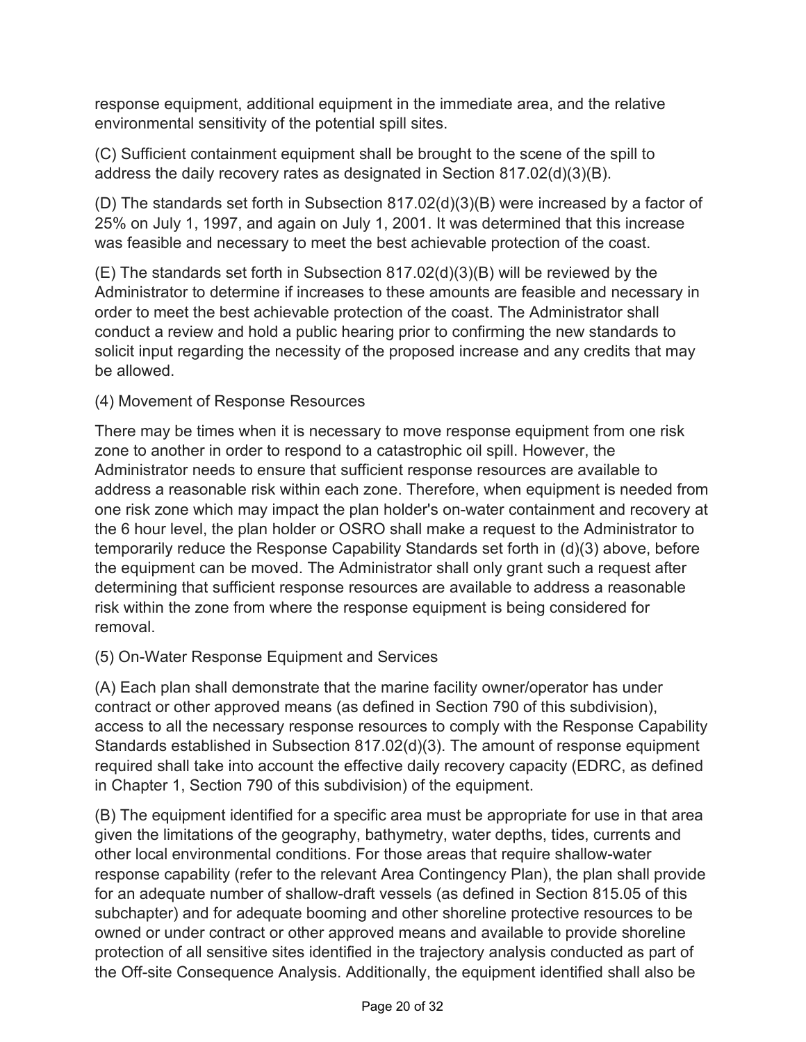response equipment, additional equipment in the immediate area, and the relative environmental sensitivity of the potential spill sites.

(C) Sufficient containment equipment shall be brought to the scene of the spill to address the daily recovery rates as designated in Section 817.02(d)(3)(B).

(D) The standards set forth in Subsection 817.02(d)(3)(B) were increased by a factor of 25% on July 1, 1997, and again on July 1, 2001. It was determined that this increase was feasible and necessary to meet the best achievable protection of the coast.

(E) The standards set forth in Subsection 817.02(d)(3)(B) will be reviewed by the Administrator to determine if increases to these amounts are feasible and necessary in order to meet the best achievable protection of the coast. The Administrator shall conduct a review and hold a public hearing prior to confirming the new standards to solicit input regarding the necessity of the proposed increase and any credits that may be allowed.

## (4) Movement of Response Resources

There may be times when it is necessary to move response equipment from one risk zone to another in order to respond to a catastrophic oil spill. However, the Administrator needs to ensure that sufficient response resources are available to address a reasonable risk within each zone. Therefore, when equipment is needed from one risk zone which may impact the plan holder's on-water containment and recovery at the 6 hour level, the plan holder or OSRO shall make a request to the Administrator to temporarily reduce the Response Capability Standards set forth in (d)(3) above, before the equipment can be moved. The Administrator shall only grant such a request after determining that sufficient response resources are available to address a reasonable risk within the zone from where the response equipment is being considered for removal.

## (5) On-Water Response Equipment and Services

(A) Each plan shall demonstrate that the marine facility owner/operator has under contract or other approved means (as defined in Section 790 of this subdivision), access to all the necessary response resources to comply with the Response Capability Standards established in Subsection 817.02(d)(3). The amount of response equipment required shall take into account the effective daily recovery capacity (EDRC, as defined in Chapter 1, Section 790 of this subdivision) of the equipment.

(B) The equipment identified for a specific area must be appropriate for use in that area given the limitations of the geography, bathymetry, water depths, tides, currents and other local environmental conditions. For those areas that require shallow-water response capability (refer to the relevant Area Contingency Plan), the plan shall provide for an adequate number of shallow-draft vessels (as defined in Section 815.05 of this subchapter) and for adequate booming and other shoreline protective resources to be owned or under contract or other approved means and available to provide shoreline protection of all sensitive sites identified in the trajectory analysis conducted as part of the Off-site Consequence Analysis. Additionally, the equipment identified shall also be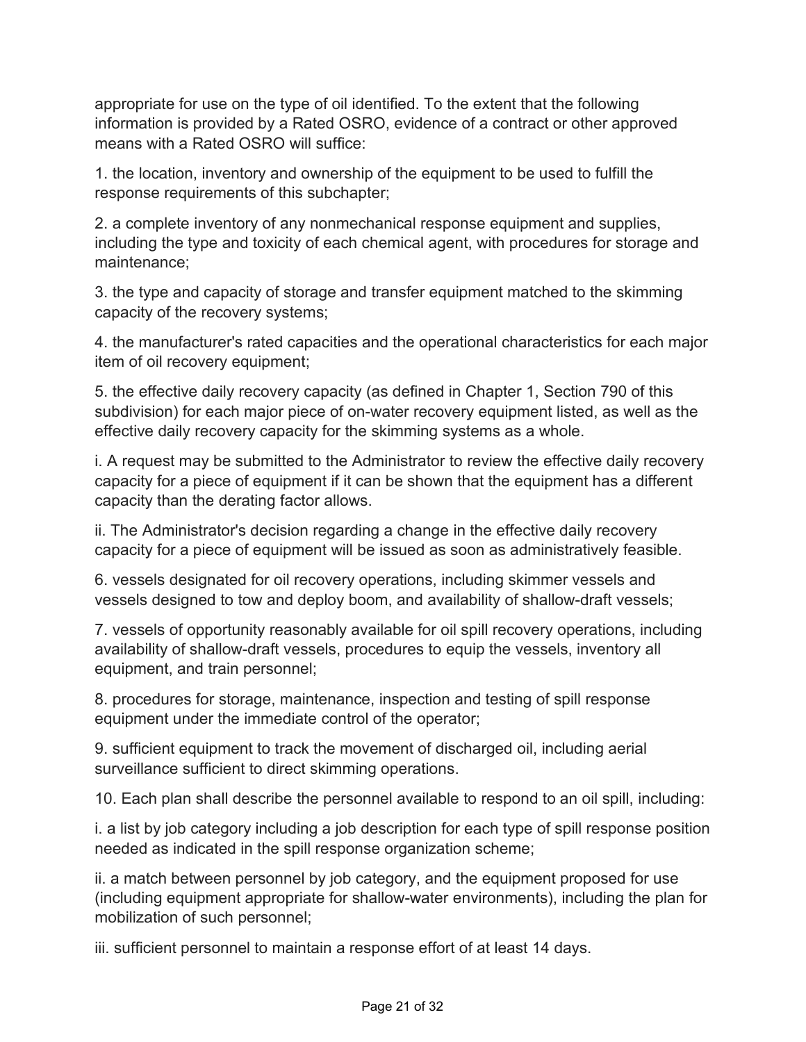appropriate for use on the type of oil identified. To the extent that the following information is provided by a Rated OSRO, evidence of a contract or other approved means with a Rated OSRO will suffice:

1. the location, inventory and ownership of the equipment to be used to fulfill the response requirements of this subchapter;

2. a complete inventory of any nonmechanical response equipment and supplies, including the type and toxicity of each chemical agent, with procedures for storage and maintenance;

3. the type and capacity of storage and transfer equipment matched to the skimming capacity of the recovery systems;

4. the manufacturer's rated capacities and the operational characteristics for each major item of oil recovery equipment;

5. the effective daily recovery capacity (as defined in Chapter 1, Section 790 of this subdivision) for each major piece of on-water recovery equipment listed, as well as the effective daily recovery capacity for the skimming systems as a whole.

i. A request may be submitted to the Administrator to review the effective daily recovery capacity for a piece of equipment if it can be shown that the equipment has a different capacity than the derating factor allows.

ii. The Administrator's decision regarding a change in the effective daily recovery capacity for a piece of equipment will be issued as soon as administratively feasible.

6. vessels designated for oil recovery operations, including skimmer vessels and vessels designed to tow and deploy boom, and availability of shallow-draft vessels;

7. vessels of opportunity reasonably available for oil spill recovery operations, including availability of shallow-draft vessels, procedures to equip the vessels, inventory all equipment, and train personnel;

8. procedures for storage, maintenance, inspection and testing of spill response equipment under the immediate control of the operator;

9. sufficient equipment to track the movement of discharged oil, including aerial surveillance sufficient to direct skimming operations.

10. Each plan shall describe the personnel available to respond to an oil spill, including:

i. a list by job category including a job description for each type of spill response position needed as indicated in the spill response organization scheme;

ii. a match between personnel by job category, and the equipment proposed for use (including equipment appropriate for shallow-water environments), including the plan for mobilization of such personnel;

iii. sufficient personnel to maintain a response effort of at least 14 days.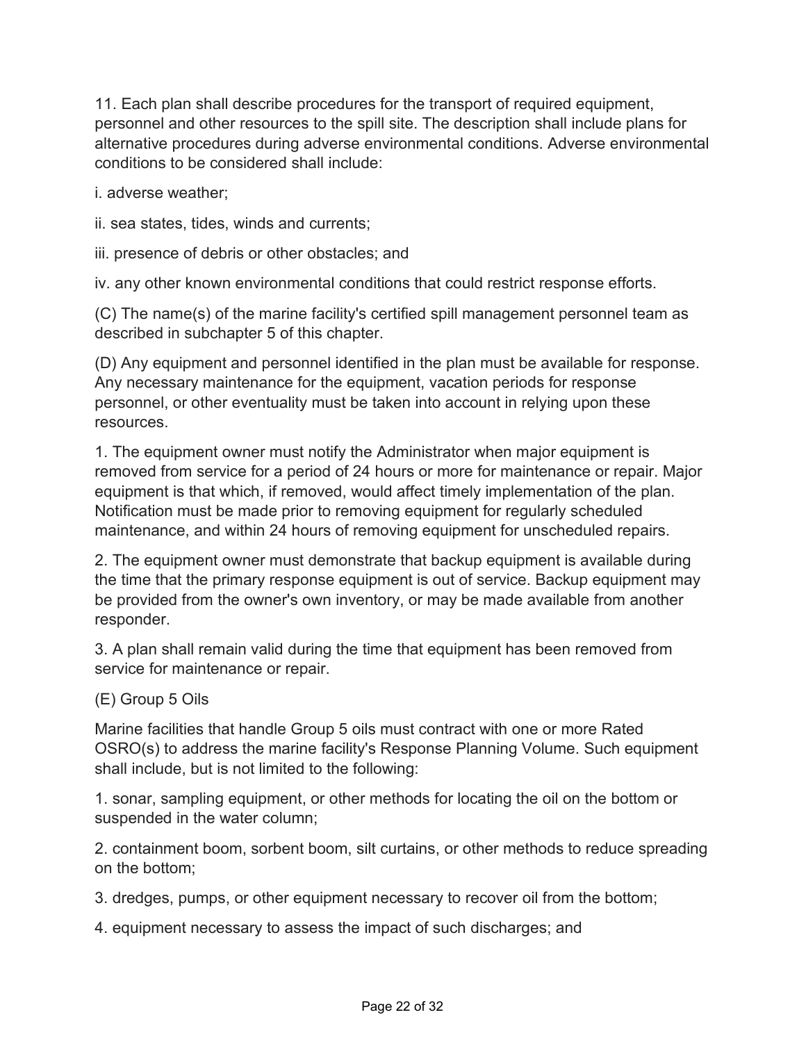11. Each plan shall describe procedures for the transport of required equipment, personnel and other resources to the spill site. The description shall include plans for alternative procedures during adverse environmental conditions. Adverse environmental conditions to be considered shall include:

i. adverse weather;

ii. sea states, tides, winds and currents;

iii. presence of debris or other obstacles; and

iv. any other known environmental conditions that could restrict response efforts.

(C) The name(s) of the marine facility's certified spill management personnel team as described in subchapter 5 of this chapter.

(D) Any equipment and personnel identified in the plan must be available for response. Any necessary maintenance for the equipment, vacation periods for response personnel, or other eventuality must be taken into account in relying upon these resources.

1. The equipment owner must notify the Administrator when major equipment is removed from service for a period of 24 hours or more for maintenance or repair. Major equipment is that which, if removed, would affect timely implementation of the plan. Notification must be made prior to removing equipment for regularly scheduled maintenance, and within 24 hours of removing equipment for unscheduled repairs.

2. The equipment owner must demonstrate that backup equipment is available during the time that the primary response equipment is out of service. Backup equipment may be provided from the owner's own inventory, or may be made available from another responder.

3. A plan shall remain valid during the time that equipment has been removed from service for maintenance or repair.

(E) Group 5 Oils

Marine facilities that handle Group 5 oils must contract with one or more Rated OSRO(s) to address the marine facility's Response Planning Volume. Such equipment shall include, but is not limited to the following:

1. sonar, sampling equipment, or other methods for locating the oil on the bottom or suspended in the water column;

2. containment boom, sorbent boom, silt curtains, or other methods to reduce spreading on the bottom;

3. dredges, pumps, or other equipment necessary to recover oil from the bottom;

4. equipment necessary to assess the impact of such discharges; and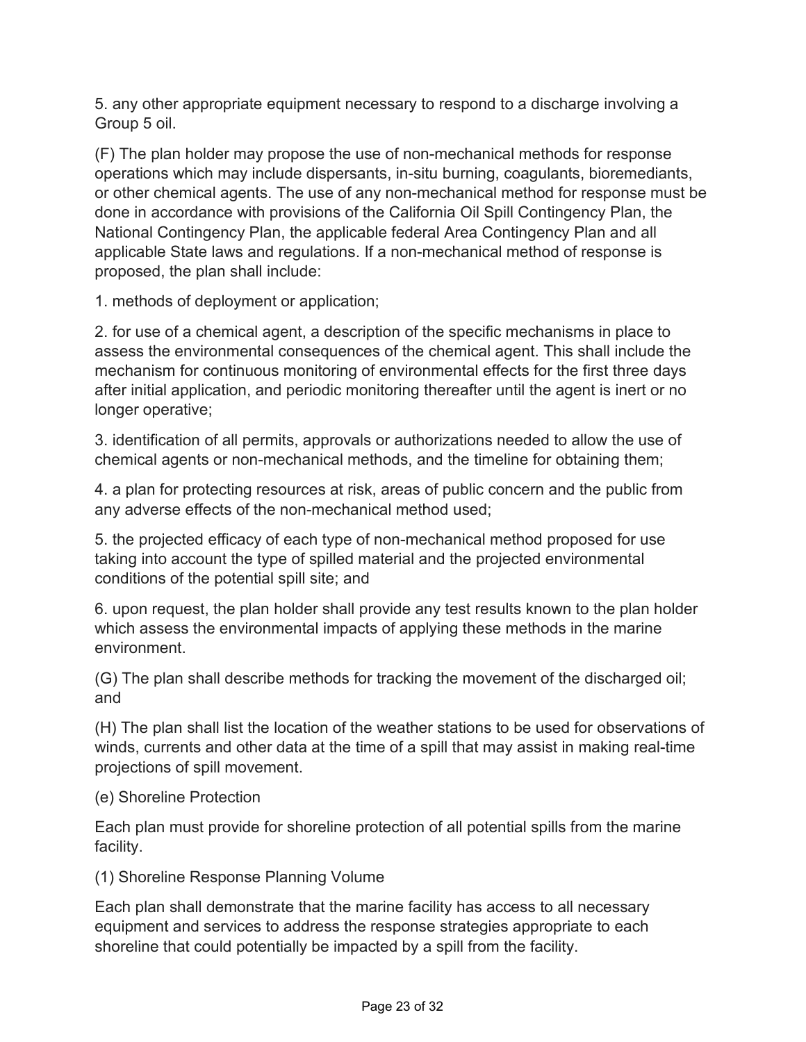5. any other appropriate equipment necessary to respond to a discharge involving a Group 5 oil.

(F) The plan holder may propose the use of non-mechanical methods for response operations which may include dispersants, in-situ burning, coagulants, bioremediants, or other chemical agents. The use of any non-mechanical method for response must be done in accordance with provisions of the California Oil Spill Contingency Plan, the National Contingency Plan, the applicable federal Area Contingency Plan and all applicable State laws and regulations. If a non-mechanical method of response is proposed, the plan shall include:

1. methods of deployment or application;

2. for use of a chemical agent, a description of the specific mechanisms in place to assess the environmental consequences of the chemical agent. This shall include the mechanism for continuous monitoring of environmental effects for the first three days after initial application, and periodic monitoring thereafter until the agent is inert or no longer operative;

3. identification of all permits, approvals or authorizations needed to allow the use of chemical agents or non-mechanical methods, and the timeline for obtaining them;

4. a plan for protecting resources at risk, areas of public concern and the public from any adverse effects of the non-mechanical method used;

5. the projected efficacy of each type of non-mechanical method proposed for use taking into account the type of spilled material and the projected environmental conditions of the potential spill site; and

6. upon request, the plan holder shall provide any test results known to the plan holder which assess the environmental impacts of applying these methods in the marine environment.

(G) The plan shall describe methods for tracking the movement of the discharged oil; and

(H) The plan shall list the location of the weather stations to be used for observations of winds, currents and other data at the time of a spill that may assist in making real-time projections of spill movement.

(e) Shoreline Protection

Each plan must provide for shoreline protection of all potential spills from the marine facility.

(1) Shoreline Response Planning Volume

Each plan shall demonstrate that the marine facility has access to all necessary equipment and services to address the response strategies appropriate to each shoreline that could potentially be impacted by a spill from the facility.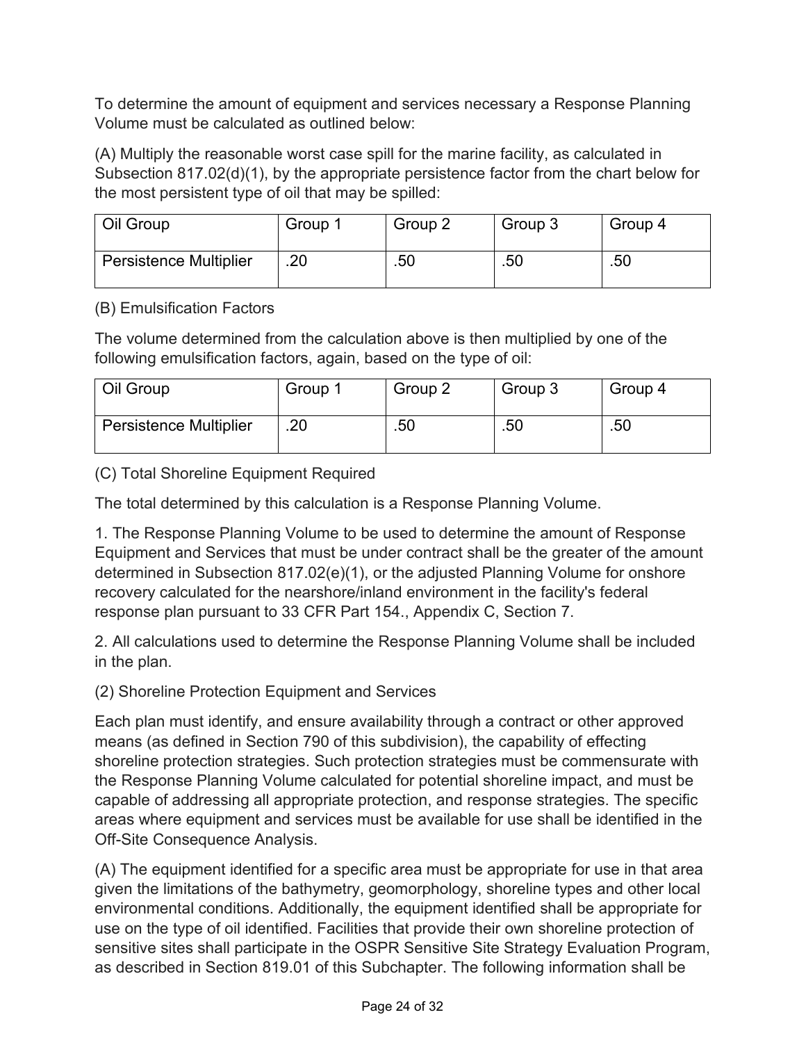To determine the amount of equipment and services necessary a Response Planning Volume must be calculated as outlined below:

(A) Multiply the reasonable worst case spill for the marine facility, as calculated in Subsection 817.02(d)(1), by the appropriate persistence factor from the chart below for the most persistent type of oil that may be spilled:

| Oil Group              | Group 1 | Group 2 | Group 3 | Group 4 |
|------------------------|---------|---------|---------|---------|
| Persistence Multiplier | .20     | .50     | .50     | .50     |

## (B) Emulsification Factors

The volume determined from the calculation above is then multiplied by one of the following emulsification factors, again, based on the type of oil:

| Oil Group                     | Group 1 | Group 2 | Group 3 | Group 4 |
|-------------------------------|---------|---------|---------|---------|
| <b>Persistence Multiplier</b> | .20     | .50     | .50     | .50     |

(C) Total Shoreline Equipment Required

The total determined by this calculation is a Response Planning Volume.

1. The Response Planning Volume to be used to determine the amount of Response Equipment and Services that must be under contract shall be the greater of the amount determined in Subsection 817.02(e)(1), or the adjusted Planning Volume for onshore recovery calculated for the nearshore/inland environment in the facility's federal response plan pursuant to 33 CFR Part 154., Appendix C, Section 7.

2. All calculations used to determine the Response Planning Volume shall be included in the plan.

(2) Shoreline Protection Equipment and Services

Each plan must identify, and ensure availability through a contract or other approved means (as defined in Section 790 of this subdivision), the capability of effecting shoreline protection strategies. Such protection strategies must be commensurate with the Response Planning Volume calculated for potential shoreline impact, and must be capable of addressing all appropriate protection, and response strategies. The specific areas where equipment and services must be available for use shall be identified in the Off-Site Consequence Analysis.

(A) The equipment identified for a specific area must be appropriate for use in that area given the limitations of the bathymetry, geomorphology, shoreline types and other local environmental conditions. Additionally, the equipment identified shall be appropriate for use on the type of oil identified. Facilities that provide their own shoreline protection of sensitive sites shall participate in the OSPR Sensitive Site Strategy Evaluation Program, as described in Section 819.01 of this Subchapter. The following information shall be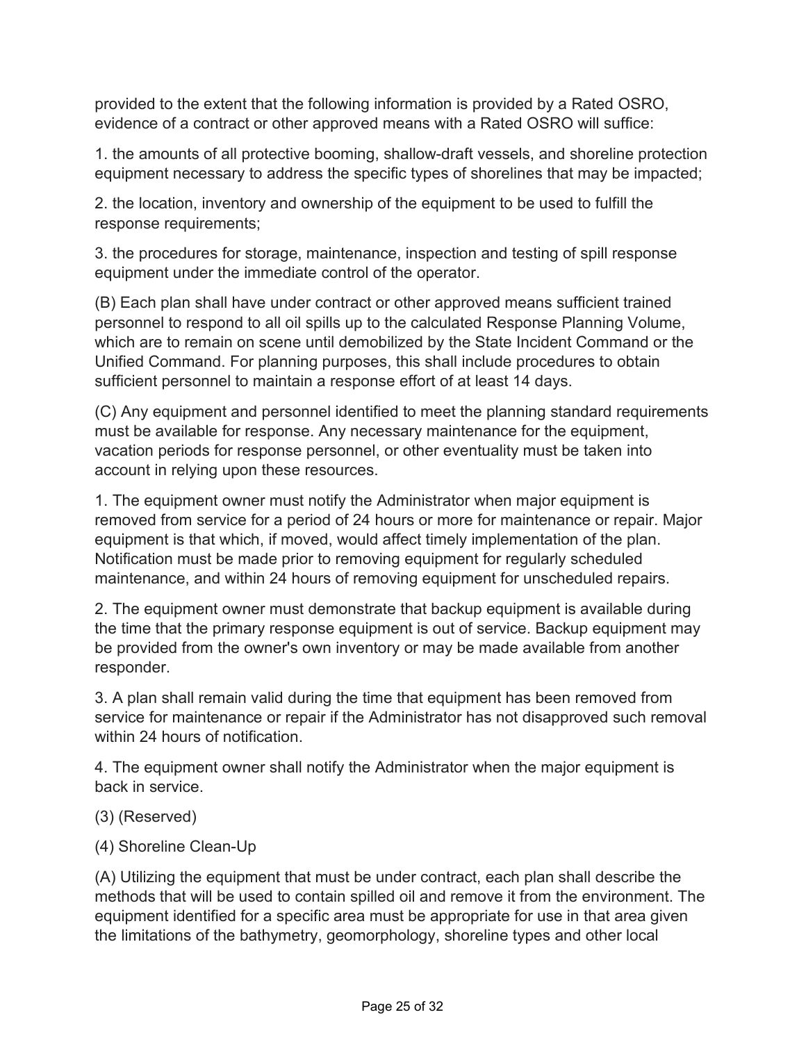provided to the extent that the following information is provided by a Rated OSRO, evidence of a contract or other approved means with a Rated OSRO will suffice:

1. the amounts of all protective booming, shallow-draft vessels, and shoreline protection equipment necessary to address the specific types of shorelines that may be impacted;

2. the location, inventory and ownership of the equipment to be used to fulfill the response requirements;

3. the procedures for storage, maintenance, inspection and testing of spill response equipment under the immediate control of the operator.

(B) Each plan shall have under contract or other approved means sufficient trained personnel to respond to all oil spills up to the calculated Response Planning Volume, which are to remain on scene until demobilized by the State Incident Command or the Unified Command. For planning purposes, this shall include procedures to obtain sufficient personnel to maintain a response effort of at least 14 days.

(C) Any equipment and personnel identified to meet the planning standard requirements must be available for response. Any necessary maintenance for the equipment, vacation periods for response personnel, or other eventuality must be taken into account in relying upon these resources.

1. The equipment owner must notify the Administrator when major equipment is removed from service for a period of 24 hours or more for maintenance or repair. Major equipment is that which, if moved, would affect timely implementation of the plan. Notification must be made prior to removing equipment for regularly scheduled maintenance, and within 24 hours of removing equipment for unscheduled repairs.

2. The equipment owner must demonstrate that backup equipment is available during the time that the primary response equipment is out of service. Backup equipment may be provided from the owner's own inventory or may be made available from another responder.

3. A plan shall remain valid during the time that equipment has been removed from service for maintenance or repair if the Administrator has not disapproved such removal within 24 hours of notification.

4. The equipment owner shall notify the Administrator when the major equipment is back in service.

- (3) (Reserved)
- (4) Shoreline Clean-Up

(A) Utilizing the equipment that must be under contract, each plan shall describe the methods that will be used to contain spilled oil and remove it from the environment. The equipment identified for a specific area must be appropriate for use in that area given the limitations of the bathymetry, geomorphology, shoreline types and other local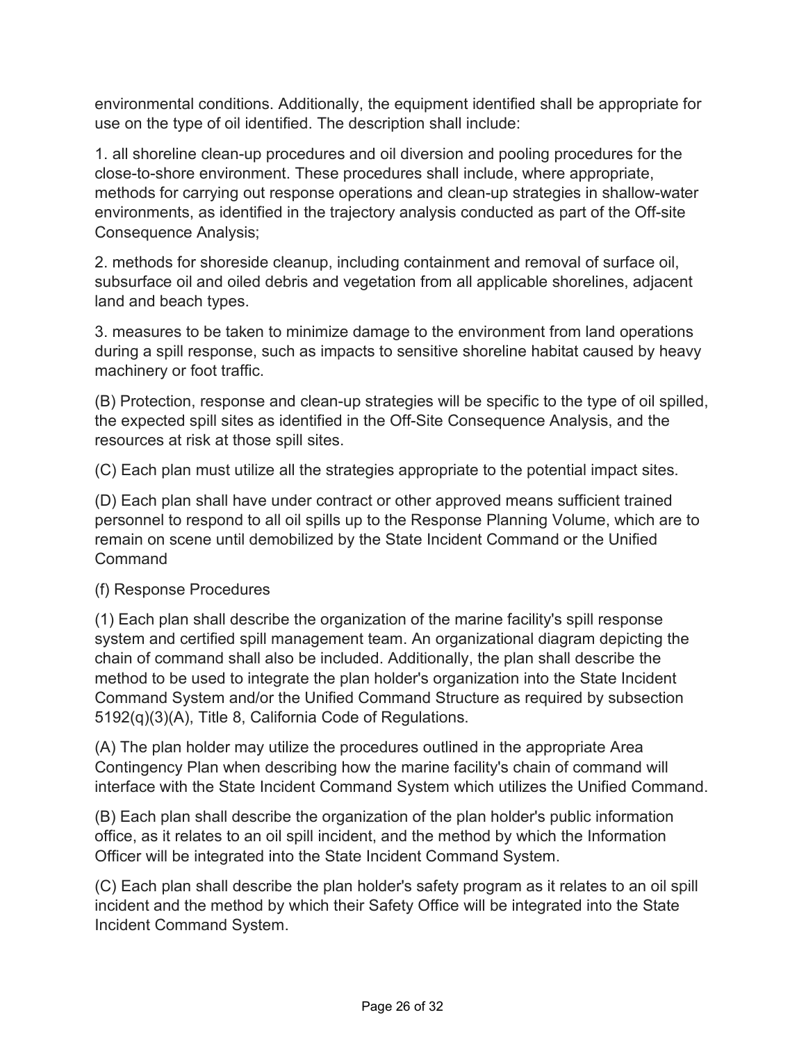environmental conditions. Additionally, the equipment identified shall be appropriate for use on the type of oil identified. The description shall include:

1. all shoreline clean-up procedures and oil diversion and pooling procedures for the close-to-shore environment. These procedures shall include, where appropriate, methods for carrying out response operations and clean-up strategies in shallow-water environments, as identified in the trajectory analysis conducted as part of the Off-site Consequence Analysis;

2. methods for shoreside cleanup, including containment and removal of surface oil, subsurface oil and oiled debris and vegetation from all applicable shorelines, adjacent land and beach types.

3. measures to be taken to minimize damage to the environment from land operations during a spill response, such as impacts to sensitive shoreline habitat caused by heavy machinery or foot traffic.

(B) Protection, response and clean-up strategies will be specific to the type of oil spilled, the expected spill sites as identified in the Off-Site Consequence Analysis, and the resources at risk at those spill sites.

(C) Each plan must utilize all the strategies appropriate to the potential impact sites.

(D) Each plan shall have under contract or other approved means sufficient trained personnel to respond to all oil spills up to the Response Planning Volume, which are to remain on scene until demobilized by the State Incident Command or the Unified Command

## (f) Response Procedures

(1) Each plan shall describe the organization of the marine facility's spill response system and certified spill management team. An organizational diagram depicting the chain of command shall also be included. Additionally, the plan shall describe the method to be used to integrate the plan holder's organization into the State Incident Command System and/or the Unified Command Structure as required by subsection 5192(q)(3)(A), Title 8, California Code of Regulations.

(A) The plan holder may utilize the procedures outlined in the appropriate Area Contingency Plan when describing how the marine facility's chain of command will interface with the State Incident Command System which utilizes the Unified Command.

(B) Each plan shall describe the organization of the plan holder's public information office, as it relates to an oil spill incident, and the method by which the Information Officer will be integrated into the State Incident Command System.

(C) Each plan shall describe the plan holder's safety program as it relates to an oil spill incident and the method by which their Safety Office will be integrated into the State Incident Command System.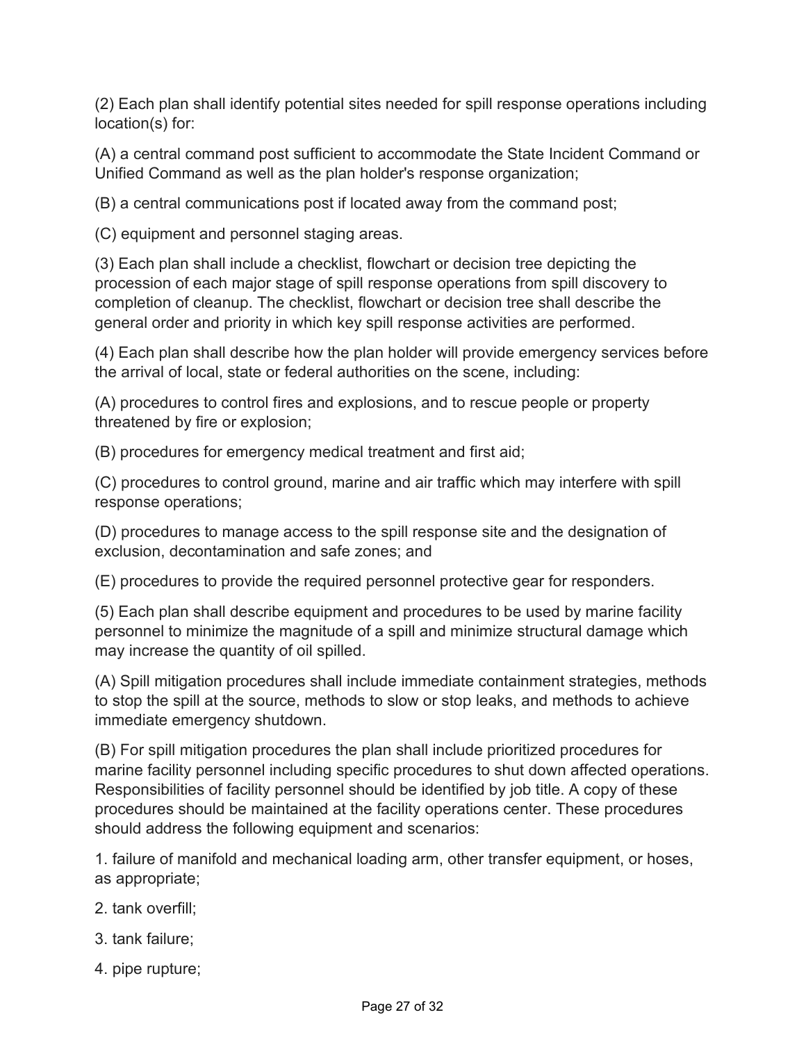(2) Each plan shall identify potential sites needed for spill response operations including location(s) for:

(A) a central command post sufficient to accommodate the State Incident Command or Unified Command as well as the plan holder's response organization;

(B) a central communications post if located away from the command post;

(C) equipment and personnel staging areas.

(3) Each plan shall include a checklist, flowchart or decision tree depicting the procession of each major stage of spill response operations from spill discovery to completion of cleanup. The checklist, flowchart or decision tree shall describe the general order and priority in which key spill response activities are performed.

(4) Each plan shall describe how the plan holder will provide emergency services before the arrival of local, state or federal authorities on the scene, including:

(A) procedures to control fires and explosions, and to rescue people or property threatened by fire or explosion;

(B) procedures for emergency medical treatment and first aid;

(C) procedures to control ground, marine and air traffic which may interfere with spill response operations;

(D) procedures to manage access to the spill response site and the designation of exclusion, decontamination and safe zones; and

(E) procedures to provide the required personnel protective gear for responders.

(5) Each plan shall describe equipment and procedures to be used by marine facility personnel to minimize the magnitude of a spill and minimize structural damage which may increase the quantity of oil spilled.

(A) Spill mitigation procedures shall include immediate containment strategies, methods to stop the spill at the source, methods to slow or stop leaks, and methods to achieve immediate emergency shutdown.

(B) For spill mitigation procedures the plan shall include prioritized procedures for marine facility personnel including specific procedures to shut down affected operations. Responsibilities of facility personnel should be identified by job title. A copy of these procedures should be maintained at the facility operations center. These procedures should address the following equipment and scenarios:

1. failure of manifold and mechanical loading arm, other transfer equipment, or hoses, as appropriate;

- 2. tank overfill;
- 3. tank failure;
- 4. pipe rupture;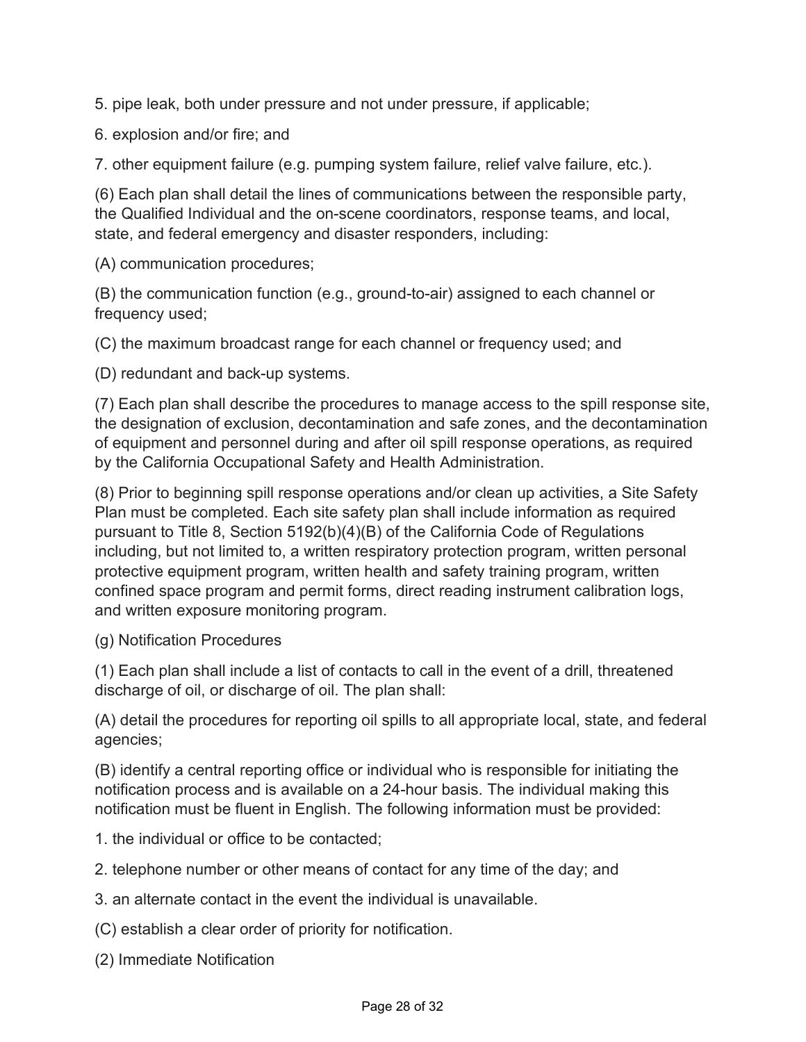5. pipe leak, both under pressure and not under pressure, if applicable;

6. explosion and/or fire; and

7. other equipment failure (e.g. pumping system failure, relief valve failure, etc.).

(6) Each plan shall detail the lines of communications between the responsible party, the Qualified Individual and the on-scene coordinators, response teams, and local, state, and federal emergency and disaster responders, including:

(A) communication procedures;

(B) the communication function (e.g., ground-to-air) assigned to each channel or frequency used;

(C) the maximum broadcast range for each channel or frequency used; and

(D) redundant and back-up systems.

(7) Each plan shall describe the procedures to manage access to the spill response site, the designation of exclusion, decontamination and safe zones, and the decontamination of equipment and personnel during and after oil spill response operations, as required by the California Occupational Safety and Health Administration.

(8) Prior to beginning spill response operations and/or clean up activities, a Site Safety Plan must be completed. Each site safety plan shall include information as required pursuant to Title 8, Section 5192(b)(4)(B) of the California Code of Regulations including, but not limited to, a written respiratory protection program, written personal protective equipment program, written health and safety training program, written confined space program and permit forms, direct reading instrument calibration logs, and written exposure monitoring program.

(g) Notification Procedures

(1) Each plan shall include a list of contacts to call in the event of a drill, threatened discharge of oil, or discharge of oil. The plan shall:

(A) detail the procedures for reporting oil spills to all appropriate local, state, and federal agencies;

(B) identify a central reporting office or individual who is responsible for initiating the notification process and is available on a 24-hour basis. The individual making this notification must be fluent in English. The following information must be provided:

- 1. the individual or office to be contacted;
- 2. telephone number or other means of contact for any time of the day; and
- 3. an alternate contact in the event the individual is unavailable.

(C) establish a clear order of priority for notification.

(2) Immediate Notification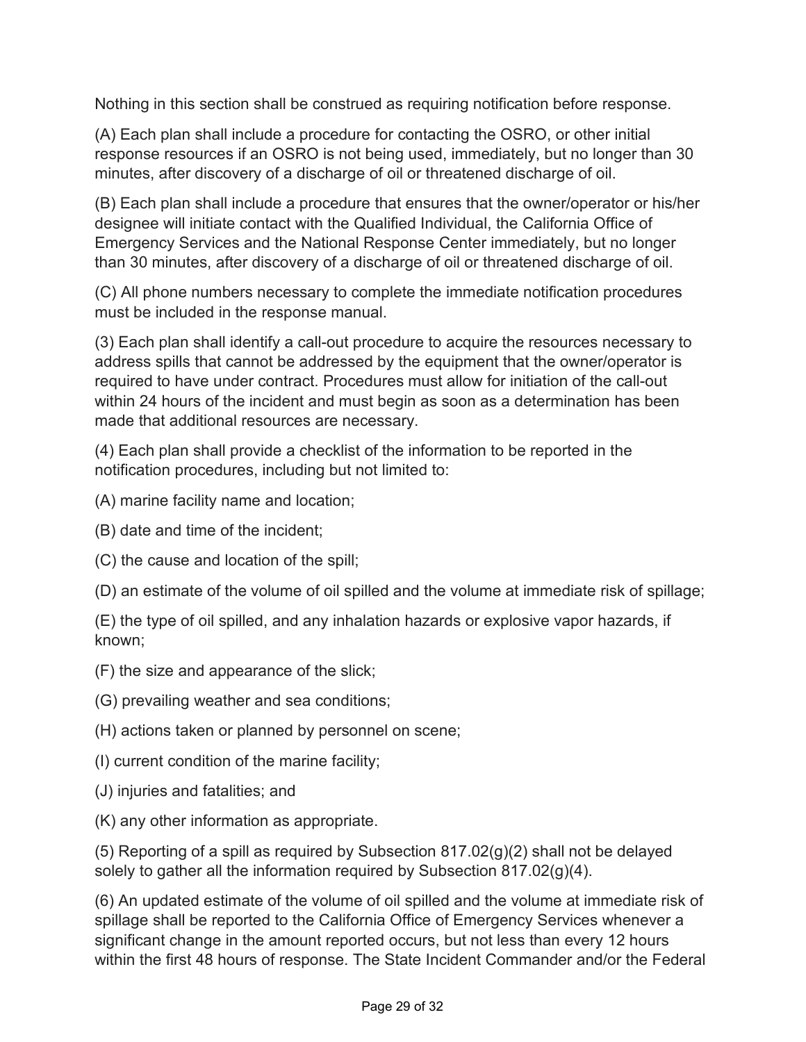Nothing in this section shall be construed as requiring notification before response.

(A) Each plan shall include a procedure for contacting the OSRO, or other initial response resources if an OSRO is not being used, immediately, but no longer than 30 minutes, after discovery of a discharge of oil or threatened discharge of oil.

(B) Each plan shall include a procedure that ensures that the owner/operator or his/her designee will initiate contact with the Qualified Individual, the California Office of Emergency Services and the National Response Center immediately, but no longer than 30 minutes, after discovery of a discharge of oil or threatened discharge of oil.

(C) All phone numbers necessary to complete the immediate notification procedures must be included in the response manual.

(3) Each plan shall identify a call-out procedure to acquire the resources necessary to address spills that cannot be addressed by the equipment that the owner/operator is required to have under contract. Procedures must allow for initiation of the call-out within 24 hours of the incident and must begin as soon as a determination has been made that additional resources are necessary.

(4) Each plan shall provide a checklist of the information to be reported in the notification procedures, including but not limited to:

- (A) marine facility name and location;
- (B) date and time of the incident;
- (C) the cause and location of the spill;

(D) an estimate of the volume of oil spilled and the volume at immediate risk of spillage;

(E) the type of oil spilled, and any inhalation hazards or explosive vapor hazards, if known;

(F) the size and appearance of the slick;

- (G) prevailing weather and sea conditions;
- (H) actions taken or planned by personnel on scene;
- (I) current condition of the marine facility;
- (J) injuries and fatalities; and
- (K) any other information as appropriate.

(5) Reporting of a spill as required by Subsection 817.02(g)(2) shall not be delayed solely to gather all the information required by Subsection 817.02(g)(4).

(6) An updated estimate of the volume of oil spilled and the volume at immediate risk of spillage shall be reported to the California Office of Emergency Services whenever a significant change in the amount reported occurs, but not less than every 12 hours within the first 48 hours of response. The State Incident Commander and/or the Federal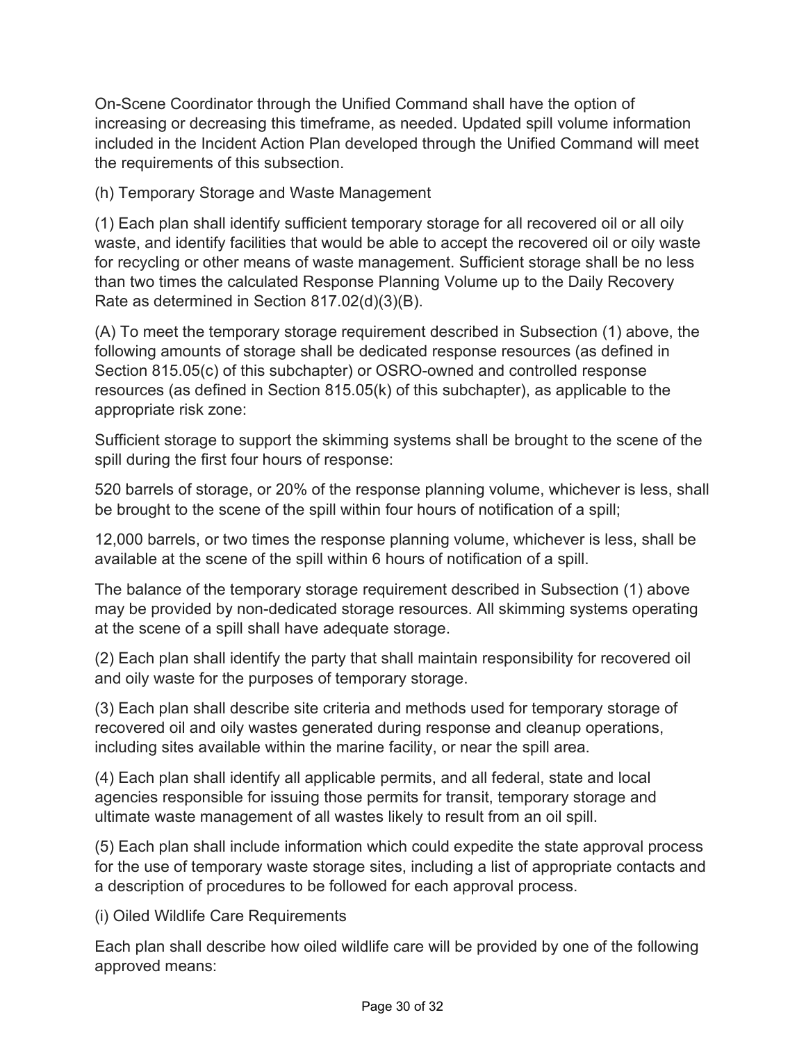On-Scene Coordinator through the Unified Command shall have the option of increasing or decreasing this timeframe, as needed. Updated spill volume information included in the Incident Action Plan developed through the Unified Command will meet the requirements of this subsection.

(h) Temporary Storage and Waste Management

(1) Each plan shall identify sufficient temporary storage for all recovered oil or all oily waste, and identify facilities that would be able to accept the recovered oil or oily waste for recycling or other means of waste management. Sufficient storage shall be no less than two times the calculated Response Planning Volume up to the Daily Recovery Rate as determined in Section 817.02(d)(3)(B).

(A) To meet the temporary storage requirement described in Subsection (1) above, the following amounts of storage shall be dedicated response resources (as defined in Section 815.05(c) of this subchapter) or OSRO-owned and controlled response resources (as defined in Section 815.05(k) of this subchapter), as applicable to the appropriate risk zone:

Sufficient storage to support the skimming systems shall be brought to the scene of the spill during the first four hours of response:

520 barrels of storage, or 20% of the response planning volume, whichever is less, shall be brought to the scene of the spill within four hours of notification of a spill;

12,000 barrels, or two times the response planning volume, whichever is less, shall be available at the scene of the spill within 6 hours of notification of a spill.

The balance of the temporary storage requirement described in Subsection (1) above may be provided by non-dedicated storage resources. All skimming systems operating at the scene of a spill shall have adequate storage.

(2) Each plan shall identify the party that shall maintain responsibility for recovered oil and oily waste for the purposes of temporary storage.

(3) Each plan shall describe site criteria and methods used for temporary storage of recovered oil and oily wastes generated during response and cleanup operations, including sites available within the marine facility, or near the spill area.

(4) Each plan shall identify all applicable permits, and all federal, state and local agencies responsible for issuing those permits for transit, temporary storage and ultimate waste management of all wastes likely to result from an oil spill.

(5) Each plan shall include information which could expedite the state approval process for the use of temporary waste storage sites, including a list of appropriate contacts and a description of procedures to be followed for each approval process.

(i) Oiled Wildlife Care Requirements

Each plan shall describe how oiled wildlife care will be provided by one of the following approved means: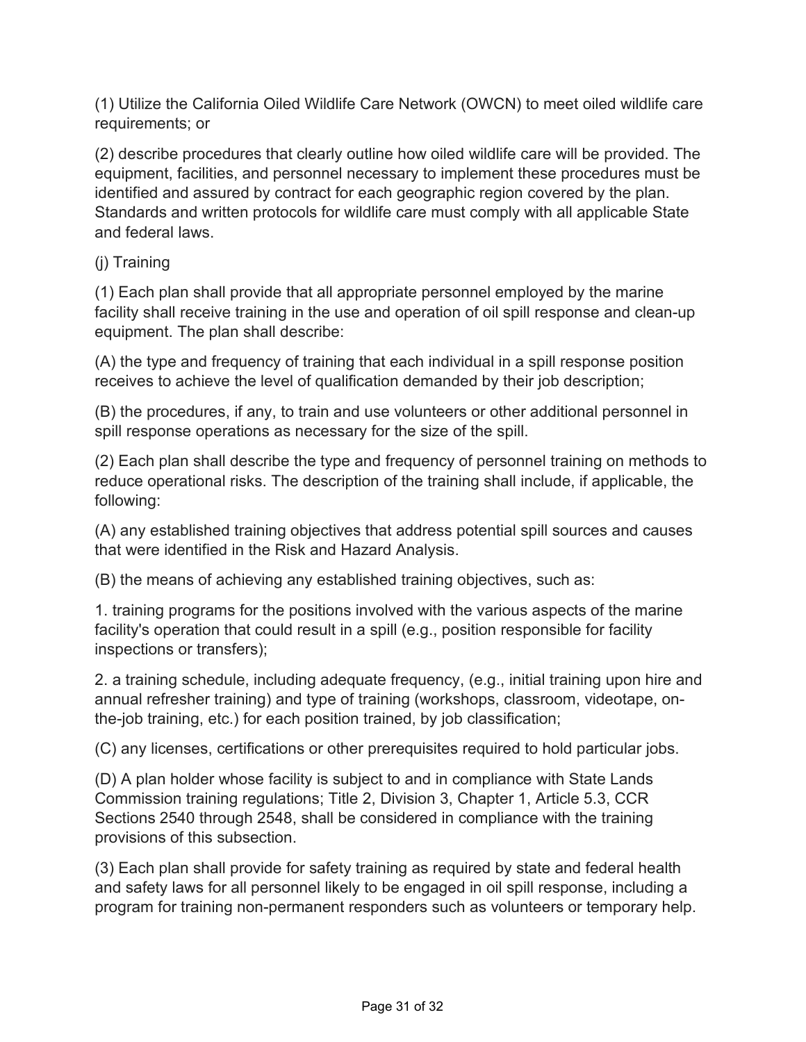(1) Utilize the California Oiled Wildlife Care Network (OWCN) to meet oiled wildlife care requirements; or

(2) describe procedures that clearly outline how oiled wildlife care will be provided. The equipment, facilities, and personnel necessary to implement these procedures must be identified and assured by contract for each geographic region covered by the plan. Standards and written protocols for wildlife care must comply with all applicable State and federal laws.

(j) Training

(1) Each plan shall provide that all appropriate personnel employed by the marine facility shall receive training in the use and operation of oil spill response and clean-up equipment. The plan shall describe:

(A) the type and frequency of training that each individual in a spill response position receives to achieve the level of qualification demanded by their job description;

(B) the procedures, if any, to train and use volunteers or other additional personnel in spill response operations as necessary for the size of the spill.

(2) Each plan shall describe the type and frequency of personnel training on methods to reduce operational risks. The description of the training shall include, if applicable, the following:

(A) any established training objectives that address potential spill sources and causes that were identified in the Risk and Hazard Analysis.

(B) the means of achieving any established training objectives, such as:

1. training programs for the positions involved with the various aspects of the marine facility's operation that could result in a spill (e.g., position responsible for facility inspections or transfers);

2. a training schedule, including adequate frequency, (e.g., initial training upon hire and annual refresher training) and type of training (workshops, classroom, videotape, onthe-job training, etc.) for each position trained, by job classification;

(C) any licenses, certifications or other prerequisites required to hold particular jobs.

(D) A plan holder whose facility is subject to and in compliance with State Lands Commission training regulations; Title 2, Division 3, Chapter 1, Article 5.3, CCR Sections 2540 through 2548, shall be considered in compliance with the training provisions of this subsection.

(3) Each plan shall provide for safety training as required by state and federal health and safety laws for all personnel likely to be engaged in oil spill response, including a program for training non-permanent responders such as volunteers or temporary help.